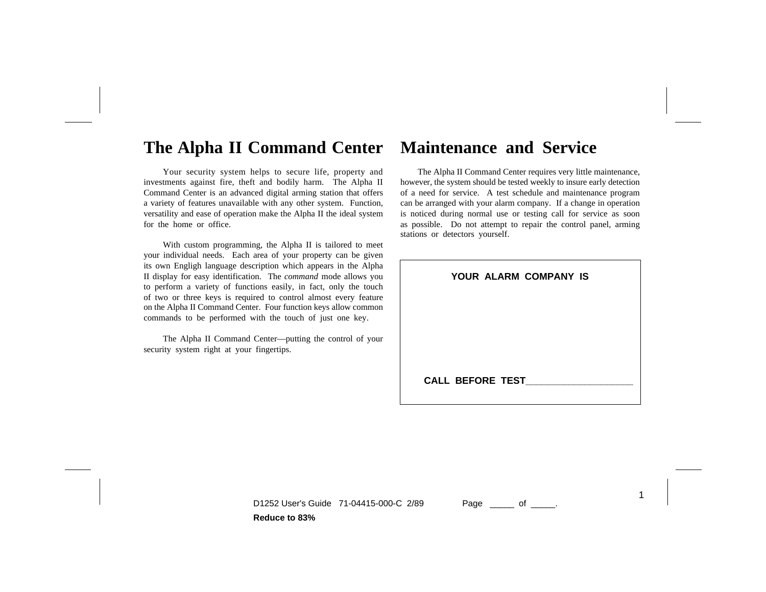### **The Alpha II Command Center**

Your security system helps to secure life, property and investments against fire, theft and bodily harm. The Alpha II Command Center is an advanced digital arming station that offers a variety of features unavailable with any other system. Function, versatility and ease of operation make the Alpha II the ideal system for the home or office.

With custom programming, the Alpha II is tailored to meet your individual needs. Each area of your property can be given its own Engligh language description which appears in the Alpha II display for easy identification. The *command* mode allows you to perform a variety of functions easily, in fact, only the touch of two or three keys is required to control almost every feature on the Alpha II Command Center. Four function keys allow common commands to be performed with the touch of just one key.

The Alpha II Command Center—putting the control of your security system right at your fingertips.

### **Maintenance and Service**

The Alpha II Command Center requires very little maintenance, however, the system should be tested weekly to insure early detection of a need for service. A test schedule and maintenance program can be arranged with your alarm company. If a change in operation is noticed during normal use or testing call for service as soon as possible. Do not attempt to repair the control panel, arming stations or detectors yourself.

| YOUR ALARM COMPANY IS   |
|-------------------------|
|                         |
|                         |
| <b>CALL BEFORE TEST</b> |
|                         |

D1252 User's Guide 71-04415-000-C 2/89 Page \_\_\_\_\_\_ of **Reduce to 83%**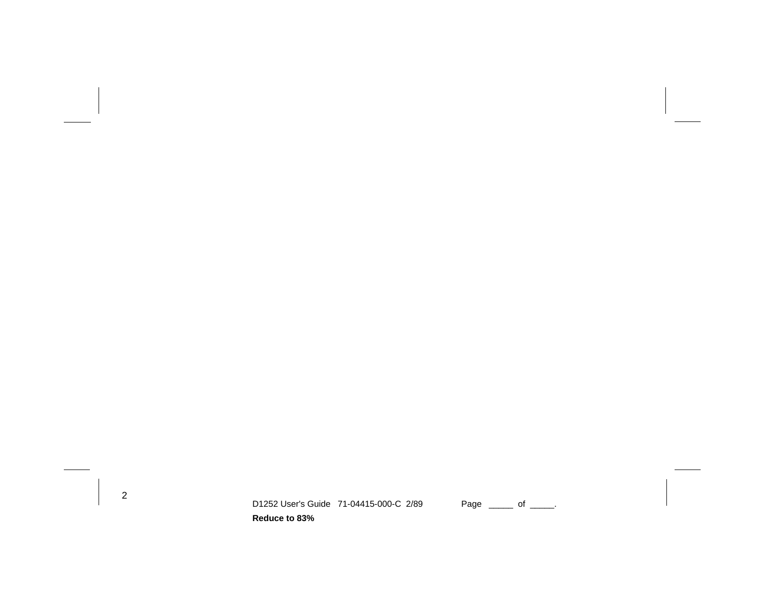2

D1252 User's Guide 71-04415-000-C 2/89 Page \_\_\_\_\_ of \_\_\_\_\_. **Reduce to 83%**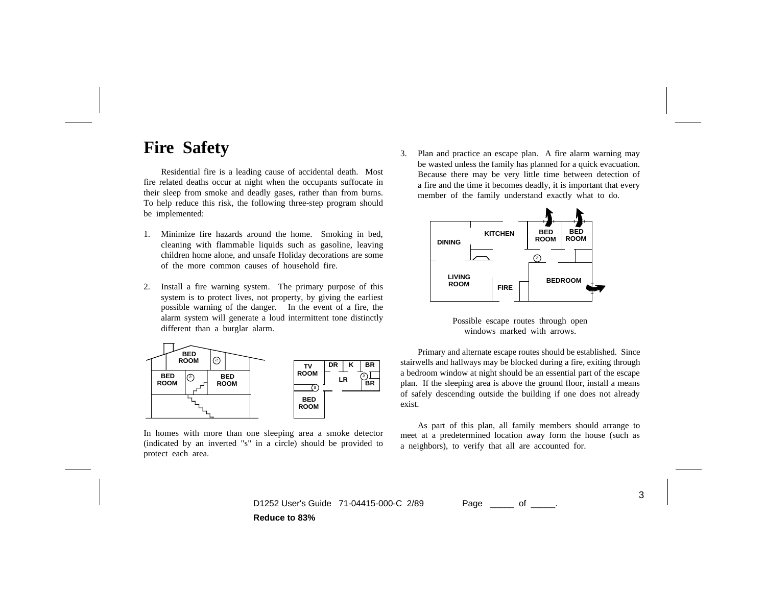# **Fire Safety**

Residential fire is a leading cause of accidental death. Most fire related deaths occur at night when the occupants suffocate in their sleep from smoke and deadly gases, rather than from burns. To help reduce this risk, the following three-step program should be implemented:

- 1. Minimize fire hazards around the home. Smoking in bed, cleaning with flammable liquids such as gasoline, leaving children home alone, and unsafe Holiday decorations are some of the more common causes of household fire.
- 2. Install a fire warning system. The primary purpose of this system is to protect lives, not property, by giving the earliest possible warning of the danger. In the event of a fire, the alarm system will generate a loud intermittent tone distinctly different than a burglar alarm.



In homes with more than one sleeping area a smoke detector (indicated by an inverted "s" in a circle) should be provided to protect each area.

3. Plan and practice an escape plan. A fire alarm warning may be wasted unless the family has planned for a quick evacuation. Because there may be very little time between detection of a fire and the time it becomes deadly, it is important that every member of the family understand exactly what to do.



Possible escape routes through open windows marked with arrows.

Primary and alternate escape routes should be established. Since stairwells and hallways may be blocked during a fire, exiting through a bedroom window at night should be an essential part of the escape plan. If the sleeping area is above the ground floor, install a means of safely descending outside the building if one does not already exist.

As part of this plan, all family members should arrange to meet at a predetermined location away form the house (such as a neighbors), to verify that all are accounted for.

|                      | D1252 User's Guide 71-04415-000-C 2/89 | Page |  |
|----------------------|----------------------------------------|------|--|
| <b>Reduce to 83%</b> |                                        |      |  |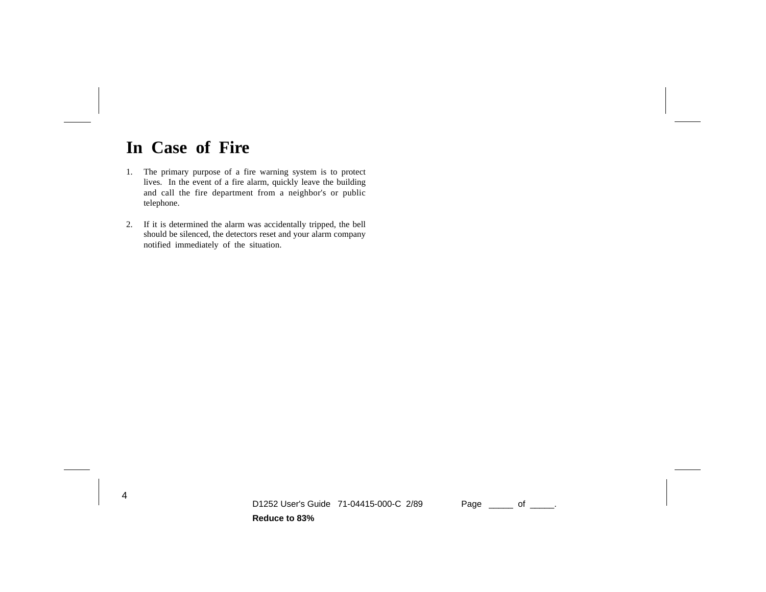# **In Case of Fire**

- 1. The primary purpose of a fire warning system is to protect lives. In the event of a fire alarm, quickly leave the building and call the fire department from a neighbor's or public telephone.
- 2. If it is determined the alarm was accidentally tripped, the bell should be silenced, the detectors reset and your alarm company notified immediately of the situation.

4

D1252 User's Guide 71-04415-000-C 2/89 Page \_\_\_\_\_ of \_\_\_\_\_ **Reduce to 83%**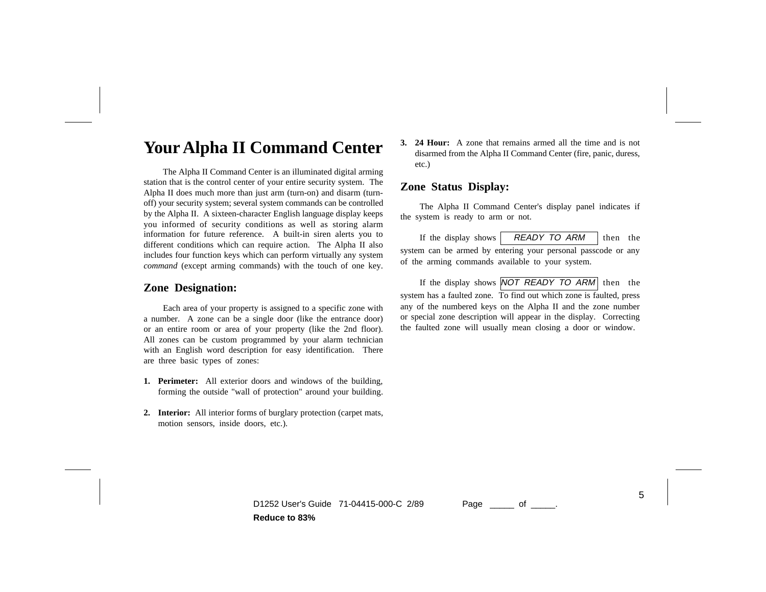### **Your Alpha II Command Center**

The Alpha II Command Center is an illuminated digital arming station that is the control center of your entire security system. The Alpha II does much more than just arm (turn-on) and disarm (turnoff) your security system; several system commands can be controlled by the Alpha II. A sixteen-character English language display keeps you informed of security conditions as well as storing alarm information for future reference. A built-in siren alerts you to different conditions which can require action. The Alpha II also includes four function keys which can perform virtually any system *command* (except arming commands) with the touch of one key.

#### **Zone Designation:**

Each area of your property is assigned to a specific zone with a number. A zone can be a single door (like the entrance door) or an entire room or area of your property (like the 2nd floor). All zones can be custom programmed by your alarm technician with an English word description for easy identification. There are three basic types of zones:

- **1. Perimeter:** All exterior doors and windows of the building, forming the outside "wall of protection" around your building.
- **2. Interior:** All interior forms of burglary protection (carpet mats, motion sensors, inside doors, etc.).

**3. 24 Hour:** A zone that remains armed all the time and is not disarmed from the Alpha II Command Center (fire, panic, duress, etc.)

### **Zone Status Display:**

The Alpha II Command Center's display panel indicates if the system is ready to arm or not.

If the display shows  $READV$  TO ARM then the system can be armed by entering your personal passcode or any of the arming commands available to your system.

If the display shows  $\overline{NOT}$  READY TO ARM then the system has a faulted zone. To find out which zone is faulted, press any of the numbered keys on the Alpha II and the zone number or special zone description will appear in the display. Correcting the faulted zone will usually mean closing a door or window.

D1252 User's Guide 71-04415-000-C 2/89 Page of **Reduce to 83%**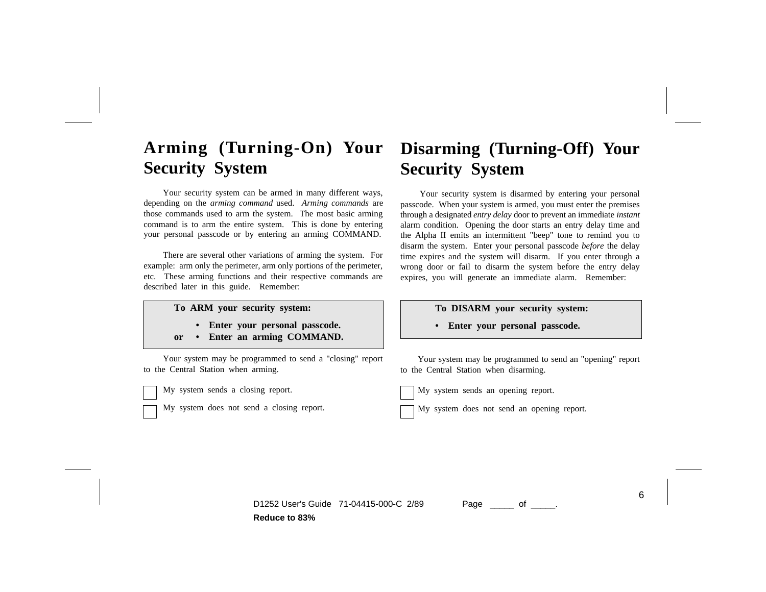# **Arming (Turning-On) Your Security System**

Your security system can be armed in many different ways, depending on the *arming command* used. *Arming commands* are those commands used to arm the system. The most basic arming command is to arm the entire system. This is done by entering your personal passcode or by entering an arming COMMAND.

There are several other variations of arming the system. For example: arm only the perimeter, arm only portions of the perimeter, etc. These arming functions and their respective commands are described later in this guide. Remember:

**To ARM your security system:**

- **Enter your personal passcode.**
- **or Enter an arming COMMAND.**

Your system may be programmed to send a "closing" report to the Central Station when arming.

My system sends a closing report.

My system does not send a closing report.

# **Disarming (Turning-Off) Your Security System**

Your security system is disarmed by entering your personal passcode. When your system is armed, you must enter the premises through a designated *entry delay* door to prevent an immediate *instant* alarm condition. Opening the door starts an entry delay time and the Alpha II emits an intermittent "beep" tone to remind you to disarm the system. Enter your personal passcode *before* the delay time expires and the system will disarm. If you enter through a wrong door or fail to disarm the system before the entry delay expires, you will generate an immediate alarm. Remember:

#### **To DISARM your security system:**

**• Enter your personal passcode.**

Your system may be programmed to send an "opening" report to the Central Station when disarming.

My system sends an opening report.



My system does not send an opening report.

D1252 User's Guide 71-04415-000-C 2/89 Page \_\_\_\_\_ of \_\_\_\_\_ **Reduce to 83%**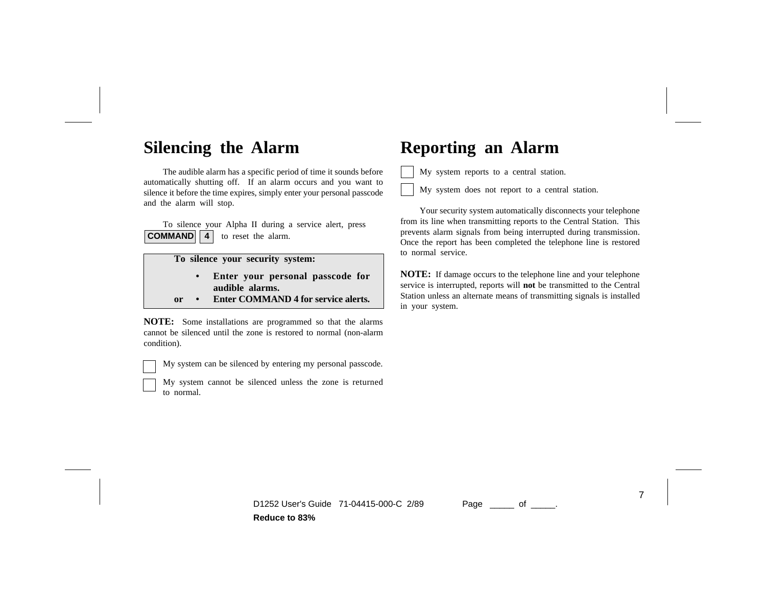### **Silencing the Alarm**

The audible alarm has a specific period of time it sounds before automatically shutting off. If an alarm occurs and you want to silence it before the time expires, simply enter your personal passcode and the alarm will stop.

To silence your Alpha II during a service alert, press **COMMAND** 4 to reset the alarm.

**To silence your security system:**

- **Enter your personal passcode for audible alarms.**
- **or Enter COMMAND 4 for service alerts.**

**NOTE:** Some installations are programmed so that the alarms cannot be silenced until the zone is restored to normal (non-alarm condition).

My system can be silenced by entering my personal passcode.

My system cannot be silenced unless the zone is returned to normal.

### **Reporting an Alarm**

My system reports to a central station.

My system does not report to a central station.

Your security system automatically disconnects your telephone from its line when transmitting reports to the Central Station. This prevents alarm signals from being interrupted during transmission. Once the report has been completed the telephone line is restored to normal service.

**NOTE:** If damage occurs to the telephone line and your telephone service is interrupted, reports will **not** be transmitted to the Central Station unless an alternate means of transmitting signals is installed in your system.

D1252 User's Guide 71-04415-000-C 2/89 Page \_\_\_\_\_\_ of **Reduce to 83%**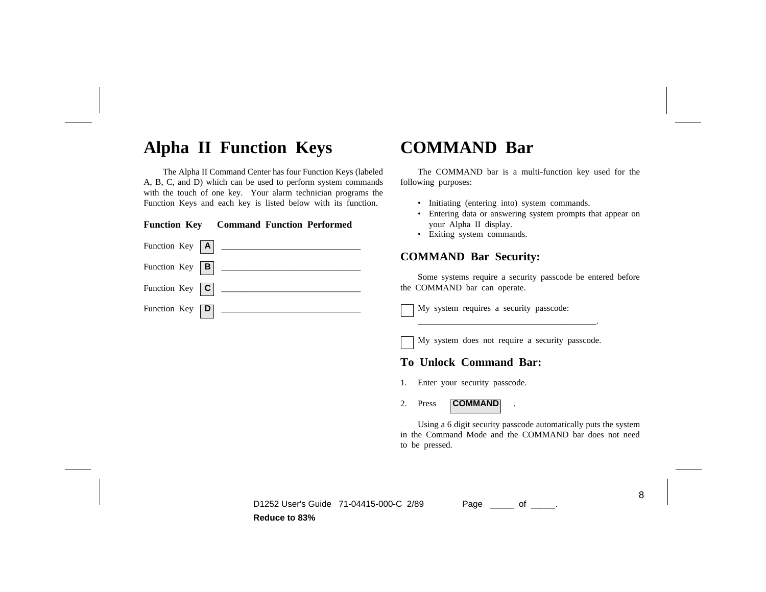# **Alpha II Function Keys**

The Alpha II Command Center has four Function Keys (labeled A, B, C, and D) which can be used to perform system commands with the touch of one key. Your alarm technician programs the Function Keys and each key is listed below with its function.

#### **Function Key Command Function Performed**

| Function Key $\begin{bmatrix} A \end{bmatrix}$ – |  |
|--------------------------------------------------|--|
|                                                  |  |
| Function Key $\begin{bmatrix} C \end{bmatrix}$   |  |
| Function Key $\boxed{\mathbf{D}}$                |  |

## **COMMAND Bar**

The COMMAND bar is a multi-function key used for the following purposes:

- Initiating (entering into) system commands.
- Entering data or answering system prompts that appear on your Alpha II display.
- Exiting system commands.

#### **COMMAND Bar Security:**

Some systems require a security passcode be entered before the COMMAND bar can operate.

My system requires a security passcode:

My system does not require a security passcode.

\_\_\_\_\_\_\_\_\_\_\_\_\_\_\_\_\_\_\_\_\_\_\_\_\_\_\_\_\_\_\_\_\_\_\_\_\_\_\_\_\_.

#### **To Unlock Command Bar:**

1. Enter your security passcode.

2. Press **COMMAND** 

Using a 6 digit security passcode automatically puts the system in the Command Mode and the COMMAND bar does not need to be pressed.

D1252 User's Guide 71-04415-000-C 2/89 Page \_\_\_\_\_ of \_\_\_\_\_. **Reduce to 83%**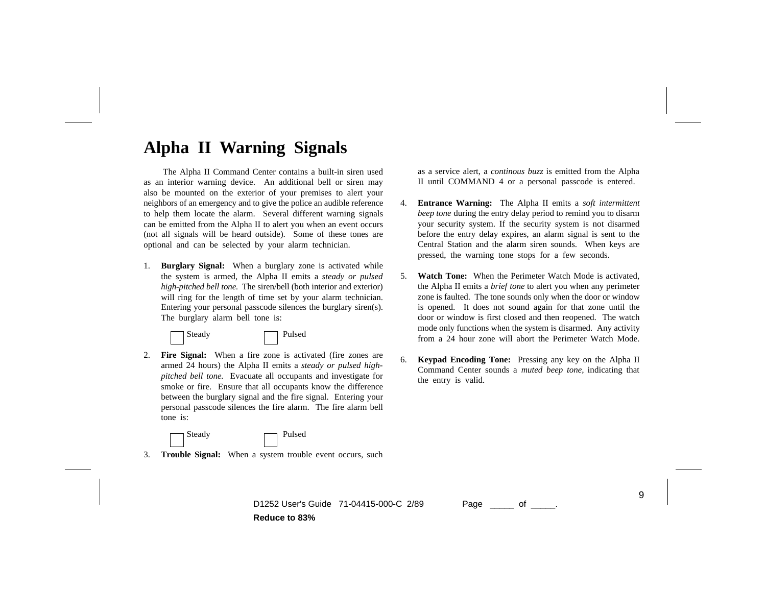### **Alpha II Warning Signals**

The Alpha II Command Center contains a built-in siren used as an interior warning device. An additional bell or siren may also be mounted on the exterior of your premises to alert your neighbors of an emergency and to give the police an audible reference to help them locate the alarm. Several different warning signals can be emitted from the Alpha II to alert you when an event occurs (not all signals will be heard outside). Some of these tones are optional and can be selected by your alarm technician.

1. **Burglary Signal:** When a burglary zone is activated while the system is armed, the Alpha II emits a *steady or pulsed high-pitched bell tone.* The siren/bell (both interior and exterior) will ring for the length of time set by your alarm technician. Entering your personal passcode silences the burglary siren(s). The burglary alarm bell tone is:

Steady Pulsed

2. **Fire Signal:** When a fire zone is activated (fire zones are armed 24 hours) the Alpha II emits a *steady or pulsed highpitched bell tone.* Evacuate all occupants and investigate for smoke or fire. Ensure that all occupants know the difference between the burglary signal and the fire signal. Entering your personal passcode silences the fire alarm. The fire alarm bell tone is:



3. **Trouble Signal:** When a system trouble event occurs, such

as a service alert, a *continous buzz* is emitted from the Alpha II until COMMAND 4 or a personal passcode is entered.

- 4. **Entrance Warning:** The Alpha II emits a *soft intermittent beep tone* during the entry delay period to remind you to disarm your security system. If the security system is not disarmed before the entry delay expires, an alarm signal is sent to the Central Station and the alarm siren sounds. When keys are pressed, the warning tone stops for a few seconds.
- 5. **Watch Tone:** When the Perimeter Watch Mode is activated, the Alpha II emits a *brief tone* to alert you when any perimeter zone is faulted. The tone sounds only when the door or window is opened. It does not sound again for that zone until the door or window is first closed and then reopened. The watch mode only functions when the system is disarmed. Any activity from a 24 hour zone will abort the Perimeter Watch Mode.
- 6. **Keypad Encoding Tone:** Pressing any key on the Alpha II Command Center sounds a *muted beep tone,* indicating that the entry is valid.

D1252 User's Guide 71-04415-000-C 2/89 Page of **Reduce to 83%**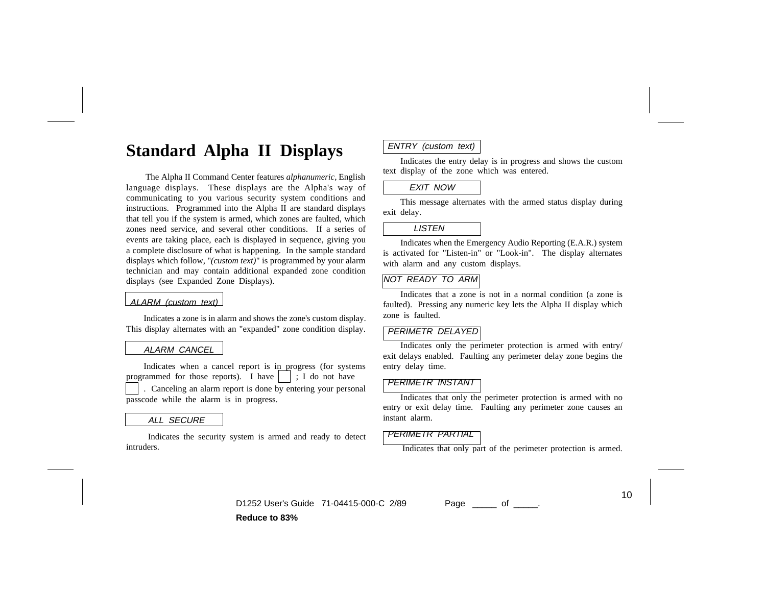### **Standard Alpha II Displays**

The Alpha II Command Center features *alphanumeric,* English language displays. These displays are the Alpha's way of communicating to you various security system conditions and instructions. Programmed into the Alpha II are standard displays that tell you if the system is armed, which zones are faulted, which zones need service, and several other conditions. If a series of events are taking place, each is displayed in sequence, giving you a complete disclosure of what is happening. In the sample standard displays which follow, "*(custom text)*" is programmed by your alarm technician and may contain additional expanded zone condition displays (see Expanded Zone Displays).

#### ALARM (custom text)

Indicates a zone is in alarm and shows the zone's custom display. This display alternates with an "expanded" zone condition display.

#### ALARM CANCEL

Indicates when a cancel report is in progress (for systems programmed for those reports). I have  $\vert \cdot \vert$ ; I do not have . Canceling an alarm report is done by entering your personal passcode while the alarm is in progress.

#### ALL SECURE

Indicates the security system is armed and ready to detect intruders.

#### ENTRY (custom text)

Indicates the entry delay is in progress and shows the custom text display of the zone which was entered.

#### EXIT NOW

This message alternates with the armed status display during exit delay.

#### LISTEN

Indicates when the Emergency Audio Reporting (E.A.R.) system is activated for "Listen-in" or "Look-in". The display alternates with alarm and any custom displays.

#### NOT READY TO ARM

Indicates that a zone is not in a normal condition (a zone is faulted). Pressing any numeric key lets the Alpha II display which zone is faulted.

#### PERIMETR DELAYED

Indicates only the perimeter protection is armed with entry/ exit delays enabled. Faulting any perimeter delay zone begins the entry delay time.

#### PERIMETR INSTANT

Indicates that only the perimeter protection is armed with no entry or exit delay time. Faulting any perimeter zone causes an instant alarm.

#### PERIMETR PARTIAL

Indicates that only part of the perimeter protection is armed.

D1252 User's Guide 71-04415-000-C 2/89 Page \_\_\_\_\_ of \_\_\_\_\_.

**Reduce to 83%**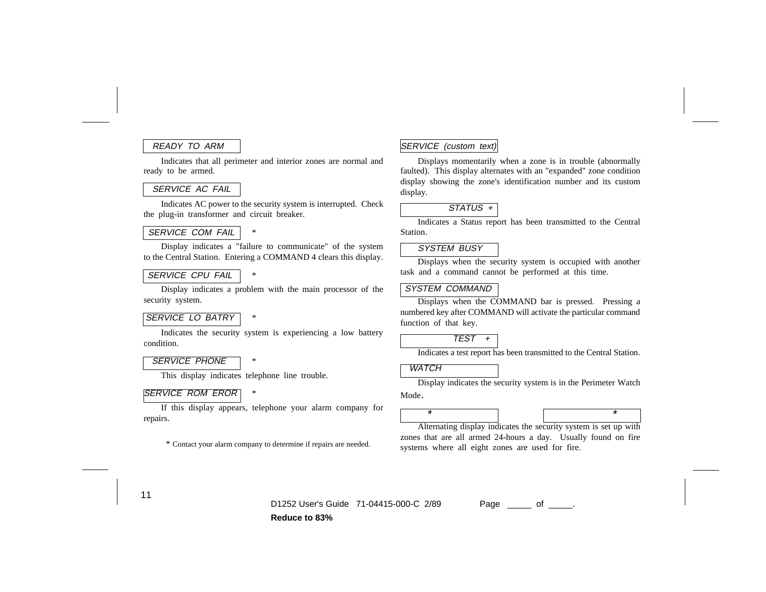#### READY TO ARM

Indicates that all perimeter and interior zones are normal and ready to be armed.

#### SERVICE AC FAIL

Indicates AC power to the security system is interrupted. Check the plug-in transformer and circuit breaker.

#### SERVICE COM FAIL

Display indicates a "failure to communicate" of the system to the Central Station. Entering a COMMAND 4 clears this display.

#### SERVICE CPU FAIL  $*$

Display indicates a problem with the main processor of the security system.

#### SERVICE LO BATRY | \*

Indicates the security system is experiencing a low battery condition.

#### SERVICE PHONE  $\parallel$  \*

This display indicates telephone line trouble.

#### SERVICE ROM EROR  $*$

If this display appears, telephone your alarm company for repairs.

\* Contact your alarm company to determine if repairs are needed.

#### SERVICE (custom text)

Displays momentarily when a zone is in trouble (abnormally faulted). This display alternates with an "expanded" zone condition display showing the zone's identification number and its custom display.

#### STATUS <sup>+</sup>

Indicates a Status report has been transmitted to the Central Station.

#### SYSTEM BUSY

Displays when the security system is occupied with another task and a command cannot be performed at this time.

#### SYSTEM COMMAND

Displays when the COMMAND bar is pressed. Pressing a numbered key after COMMAND will activate the particular command function of that key.

 $TEST +$ 

Indicates a test report has been transmitted to the Central Station.

**WATCH** 

Display indicates the security system is in the Perimeter Watch Mode.



Alternating display indicates the security system is set up with zones that are all armed 24-hours a day. Usually found on fire systems where all eight zones are used for fire.

11

D1252 User's Guide 71-04415-000-C 2/89 Page of Fig.

**Reduce to 83%**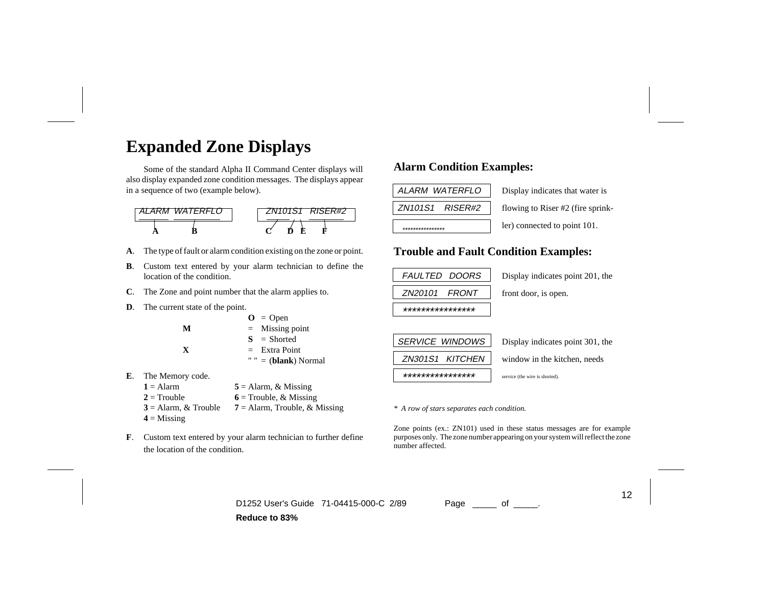# **Expanded Zone Displays**

Some of the standard Alpha II Command Center displays will also display expanded zone condition messages. The displays appear in a sequence of two (example below).



- **A**. The type of fault or alarm condition existing on the zone or point.
- **B**. Custom text entered by your alarm technician to define the location of the condition.
- **C**. The Zone and point number that the alarm applies to.
- **D**. The current state of the point.

|   | $\mathbf{O}$ = Open    |
|---|------------------------|
| м | $=$ Missing point      |
|   | $S = Shorted$          |
| X | $=$ Extra Point        |
|   | " $" = (blank) Normal$ |

- **E**. The Memory code.
	- $1 =$  Alarm **5** = Alarm, & Missing  $2 =$  Trouble **6** = Trouble, & Missing **3** = Alarm, & Trouble **7** = Alarm, Trouble, & Missing  $4 =$ Missing
- **F**. Custom text entered by your alarm technician to further define the location of the condition.

### **Alarm Condition Examples:**



ler) connected to point 101.

front door, is open.

### **Trouble and Fault Condition Examples:**

| <i>FAULTED DOORS</i> |  |  |  |  |
|----------------------|--|--|--|--|
| ZN20101 FRONT        |  |  |  |  |
| ***************      |  |  |  |  |

Display indicates point 201, the

| **************** | service (the wire is shorted).   |  |  |
|------------------|----------------------------------|--|--|
| ZN301S1 KITCHEN  | window in the kitchen, needs     |  |  |
| SERVICE WINDOWS  | Display indicates point 301, the |  |  |

*\* A row of stars separates each condition.*

Zone points (ex.: ZN101) used in these status messages are for example purposes only. The zone number appearing on your system will reflect the zone number affected.

D1252 User's Guide 71-04415-000-C 2/89 Page \_\_\_\_\_ of \_\_\_\_\_.

**Reduce to 83%**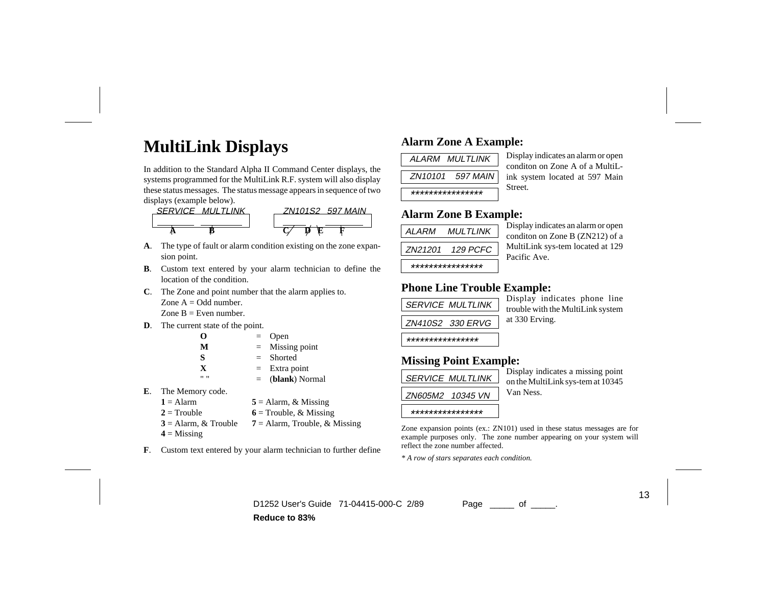## **MultiLink Displays**

In addition to the Standard Alpha II Command Center displays, the systems programmed for the MultiLink R.F. system will also display these status messages. The status message appears in sequence of two displays (example below).



- **A**. The type of fault or alarm condition existing on the zone expansion point.
- **B**. Custom text entered by your alarm technician to define the location of the condition.
- **C**. The Zone and point number that the alarm applies to. Zone  $A = Odd$  number. Zone  $B = E$ ven number.
- **D**. The current state of the point.

| O            | $=$ | Open           |
|--------------|-----|----------------|
| М            | $=$ | Missing point  |
| s            | $=$ | Shorted        |
| $\mathbf x$  | $=$ | Extra point    |
| $\mathbf{u}$ | $=$ | (blank) Normal |
|              |     |                |

- **E**. The Memory code.
	- $1 =$  Alarm **5** = Alarm, & Missing
	- $2 = \text{Trouble}$  **6** = Trouble, & Missing
	- $3 =$  Alarm, & Trouble  $7 =$  Alarm, Trouble, & Missing  $4 =$ Missing
- **F**. Custom text entered by your alarm technician to further define

### **Alarm Zone A Example:**

|         | ALARM MULTLINK  |
|---------|-----------------|
|         |                 |
| ZN10101 | <i>597 MAIN</i> |

\*\*\*\*\*\*\*\*\*\*\*\*\*\*\*\*

Display indicates an alarm or open conditon on Zone A of a MultiLink system located at 597 Main Street.

#### **Alarm Zone B Example:**

| AI ARM          | <b>MULTLINK</b> |  |  |  |
|-----------------|-----------------|--|--|--|
| ZN21201         | 129 PCFC        |  |  |  |
| *************** |                 |  |  |  |

Display indicates an alarm or open conditon on Zone B (ZN212) of a MultiLink sys-tem located at 129 Pacific Ave.

### **Phone Line Trouble Example:**

|                  | <b>SERVICE MULTLINK</b> |
|------------------|-------------------------|
|                  | ZN410S2 330 ERVG        |
| **************** |                         |

Display indicates phone line trouble with the MultiLink system at 330 Erving.

### **Missing Point Example:**

|                  | <b>SERVICE MULTLINK</b> |  |  |
|------------------|-------------------------|--|--|
| ZN605M2 10345 VN |                         |  |  |
| **************** |                         |  |  |

Display indicates a missing point on the MultiLink sys-tem at 10345 Van Ness.

Zone expansion points (ex.: ZN101) used in these status messages are for example purposes only. The zone number appearing on your system will reflect the zone number affected.

*\* A row of stars separates each condition.*

D1252 User's Guide 71-04415-000-C 2/89 Page of **Reduce to 83%**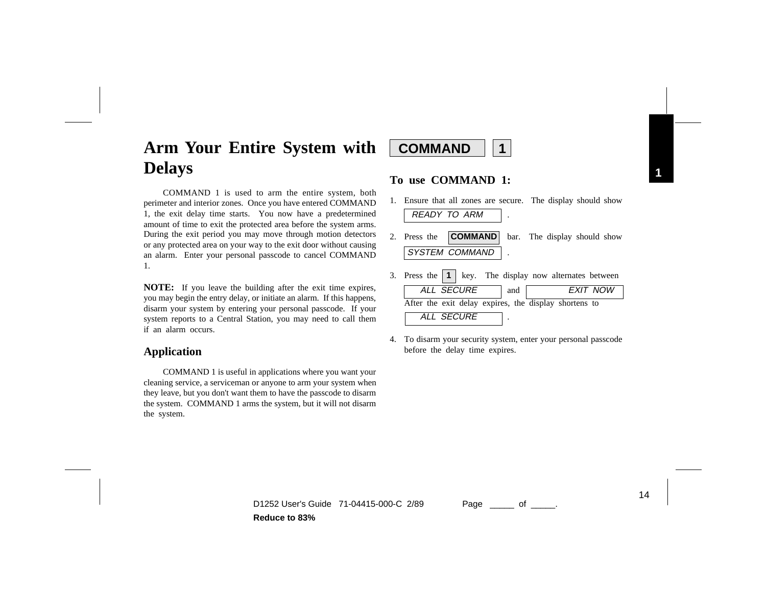# **Arm Your Entire System with Delays**



COMMAND 1 is used to arm the entire system, both perimeter and interior zones. Once you have entered COMMAND 1, the exit delay time starts. You now have a predetermined amount of time to exit the protected area before the system arms. During the exit period you may move through motion detectors or any protected area on your way to the exit door without causing an alarm. Enter your personal passcode to cancel COMMAND 1.

**NOTE:** If you leave the building after the exit time expires, you may begin the entry delay, or initiate an alarm. If this happens, disarm your system by entering your personal passcode. If your system reports to a Central Station, you may need to call them if an alarm occurs.

#### **Application**

COMMAND 1 is useful in applications where you want your cleaning service, a serviceman or anyone to arm your system when they leave, but you don't want them to have the passcode to disarm the system. COMMAND 1 arms the system, but it will not disarm the system.

### **To use COMMAND 1:**

- 1. Ensure that all zones are secure. The display should show **READY TO ARM**
- 2. Press the **COMMAND** bar. The display should show SYSTEM COMMAND
- 3. Press the **1** key. The display now alternates between

| ALL SECURE                                            | and |  | <b>EXIT NOW</b> |
|-------------------------------------------------------|-----|--|-----------------|
| After the exit delay expires, the display shortens to |     |  |                 |
| ALL SECURE                                            |     |  |                 |

4. To disarm your security system, enter your personal passcode before the delay time expires.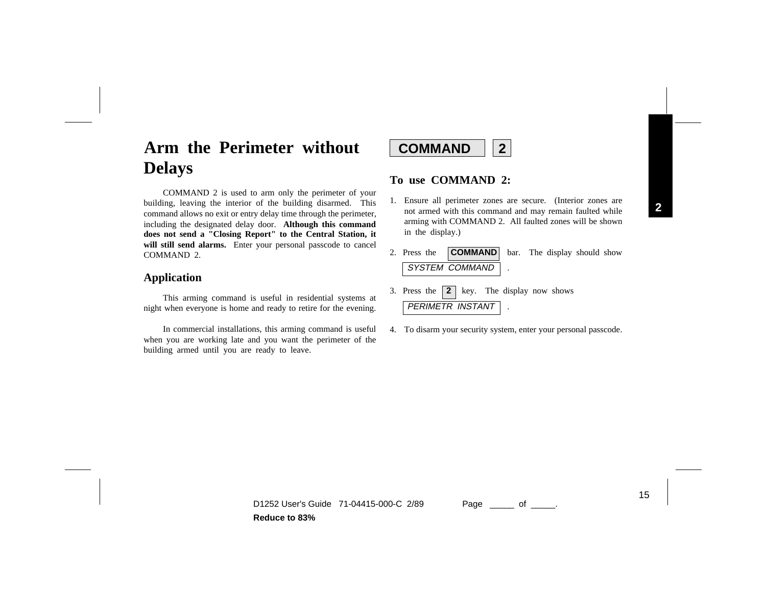# **Arm the Perimeter without Delays**

COMMAND 2 is used to arm only the perimeter of your building, leaving the interior of the building disarmed. This command allows no exit or entry delay time through the perimeter, including the designated delay door. **Although this command does not send a "Closing Report" to the Central Station, it will still send alarms.** Enter your personal passcode to cancel COMMAND 2.

#### **Application**

This arming command is useful in residential systems at night when everyone is home and ready to retire for the evening.

In commercial installations, this arming command is useful when you are working late and you want the perimeter of the building armed until you are ready to leave.

### **COMMAND** 12

### **To use COMMAND 2:**

- 1. Ensure all perimeter zones are secure. (Interior zones are not armed with this command and may remain faulted while arming with COMMAND 2. All faulted zones will be shown in the display.)
- 2. Press the **COMMAND** bar. The display should show SYSTEM COMMAND
- 3. Press the **2** key. The display now shows PERIMETR INSTANT
- 4. To disarm your security system, enter your personal passcode.

| D1252 User's Guide 71-04415-000-C 2/89 |  |
|----------------------------------------|--|
| Reduce to 83%                          |  |

Page  $\rule{1em}{0.15mm}$  of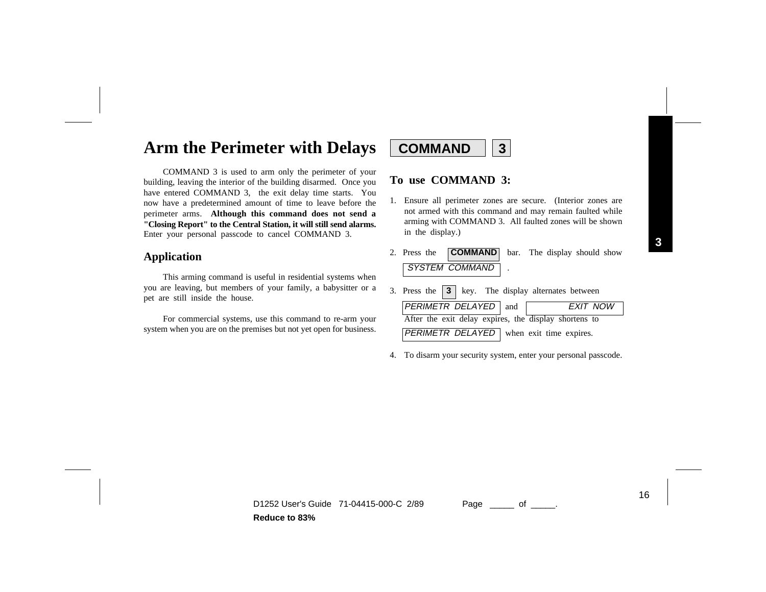### **Arm the Perimeter with Delays**

COMMAND 3 is used to arm only the perimeter of your building, leaving the interior of the building disarmed. Once you have entered COMMAND 3, the exit delay time starts. You now have a predetermined amount of time to leave before the perimeter arms. **Although this command does not send a "Closing Report" to the Central Station, it will still send alarms.** Enter your personal passcode to cancel COMMAND 3.

#### **Application**

This arming command is useful in residential systems when you are leaving, but members of your family, a babysitter or a pet are still inside the house.

For commercial systems, use this command to re-arm your system when you are on the premises but not yet open for business.

# COMMAND ||3

#### **To use COMMAND 3:**

- 1. Ensure all perimeter zones are secure. (Interior zones are not armed with this command and may remain faulted while arming with COMMAND 3. All faulted zones will be shown in the display.)
- 2. Press the **COMMAND** bar. The display should show SYSTEM COMMAND
- 3. Press the **3** key. The display alternates between PERIMETR DELAYED and EXIT NOW After the exit delay expires, the display shortens to **PERIMETR DELAYED** when exit time expires.
- 4. To disarm your security system, enter your personal passcode.

D1252 User's Guide 71-04415-000-C 2/89 Page \_\_\_\_\_\_ of **Reduce to 83%**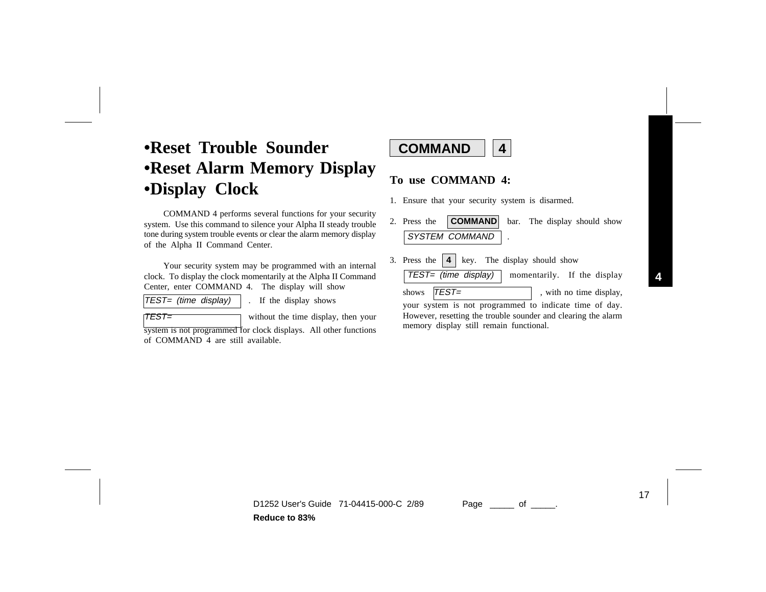# **•Reset Trouble Sounder •Reset Alarm Memory Display •Display Clock**

COMMAND 4 performs several functions for your security system. Use this command to silence your Alpha II steady trouble tone during system trouble events or clear the alarm memory display of the Alpha II Command Center.

Your security system may be programmed with an internal clock. To display the clock momentarily at the Alpha II Command Center, enter COMMAND 4. The display will show

**TEST**= (time display) . If the display shows

 $TEST=$  without the time display, then your system is not programmed for clock displays. All other functions of COMMAND 4 are still available.

# **COMMAND 4**

### **To use COMMAND 4:**

- 1. Ensure that your security system is disarmed.
- 2. Press the  $\overline{COMMAND}$  bar. The display should show SYSTEM COMMAND
- 3. Press the **4** key. The display should show **TEST=** (time display) momentarily. If the display shows  $\overline{\text{TEST}}$  , with no time display,

**4**

17

your system is not programmed to indicate time of day. However, resetting the trouble sounder and clearing the alarm memory display still remain functional.

D1252 User's Guide 71-04415-000-C 2/89 Page \_\_\_\_\_\_ of **Reduce to 83%**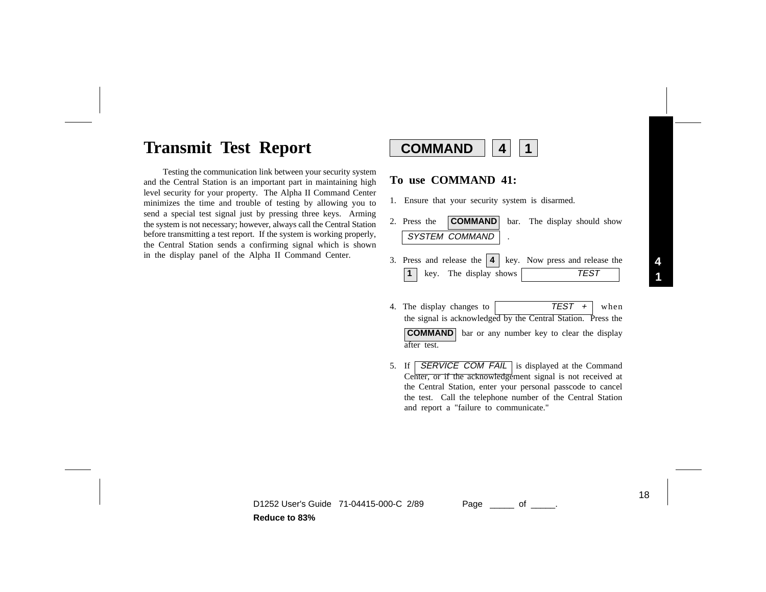### **Transmit Test Report**

Testing the communication link between your security system and the Central Station is an important part in maintaining high level security for your property. The Alpha II Command Center minimizes the time and trouble of testing by allowing you to send a special test signal just by pressing three keys. Arming the system is not necessary; however, always call the Central Station before transmitting a test report. If the system is working properly, the Central Station sends a confirming signal which is shown in the display panel of the Alpha II Command Center.

### **COMMAND**  $||4||1$

#### **To use COMMAND 41:**

- 1. Ensure that your security system is disarmed.
- 2. Press the **COMMAND** bar. The display should show SYSTEM COMMAND
- 3. Press and release the **4** key. Now press and release the **1** key. The display shows **TEST**
- **4 1**
- 4. The display changes to  $\sqrt{TEST +}$  when the signal is acknowledged by the Central Station. Press the

**COMMAND** bar or any number key to clear the display after test.

5. If SERVICE COM FAIL is displayed at the Command Center, or if the acknowledgement signal is not received at the Central Station, enter your personal passcode to cancel the test. Call the telephone number of the Central Station and report a "failure to communicate."

D1252 User's Guide 71-04415-000-C 2/89 Page \_\_\_\_\_\_ of **Reduce to 83%**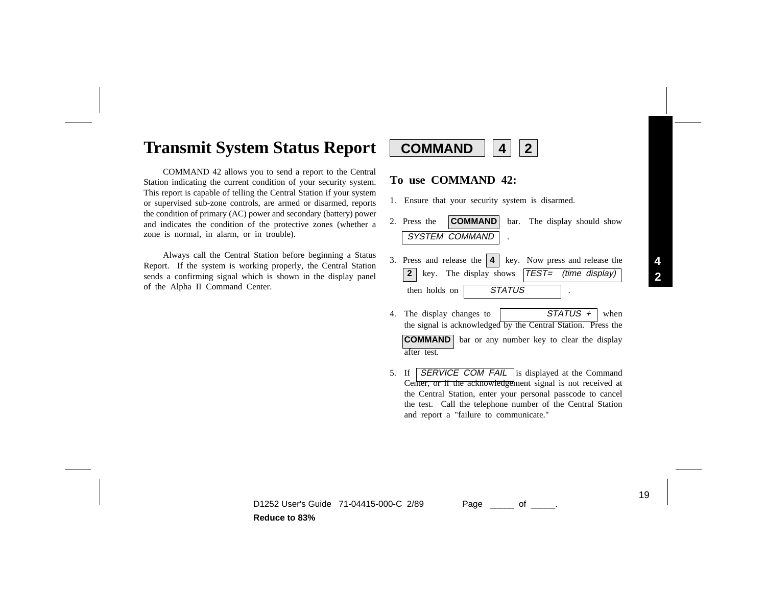### **Transmit System Status Report**

COMMAND 42 allows you to send a report to the Central Station indicating the current condition of your security system. This report is capable of telling the Central Station if your system or supervised sub-zone controls, are armed or disarmed, reports the condition of primary (AC) power and secondary (battery) power and indicates the condition of the protective zones (whether a zone is normal, in alarm, or in trouble).

Always call the Central Station before beginning a Status Report. If the system is working properly, the Central Station sends a confirming signal which is shown in the display panel of the Alpha II Command Center.

## **COMMAND**  $|4|2$

#### **To use COMMAND 42:**

- 1. Ensure that your security system is disarmed.
- 2. Press the **COMMAND** bar. The display should show SYSTEM COMMAND
- 3. Press and release the  $\begin{bmatrix} 4 \\ 8 \end{bmatrix}$  key. Now press and release the **2** key. The display shows **TEST**= (time display) then holds on  $\vert$  STATUS

**4 2**

- 4. The display changes to  $STATUS + |\text{when}$ the signal is acknowledged by the Central Station. Press the **COMMAND** bar or any number key to clear the display after test.
- 5. If SERVICE COM FAIL is displayed at the Command Center, or if the acknowledgement signal is not received at the Central Station, enter your personal passcode to cancel the test. Call the telephone number of the Central Station and report a "failure to communicate."

D1252 User's Guide 71-04415-000-C 2/89 Page \_\_\_\_\_\_ of **Reduce to 83%**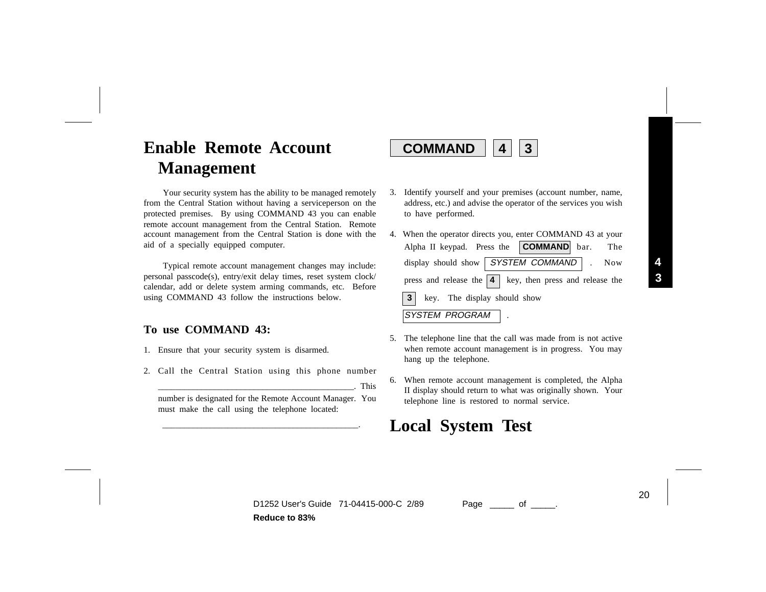# **Enable Remote Account Management**

Your security system has the ability to be managed remotely from the Central Station without having a serviceperson on the protected premises. By using COMMAND 43 you can enable remote account management from the Central Station. Remote account management from the Central Station is done with the aid of a specially equipped computer.

Typical remote account management changes may include: personal passcode(s), entry/exit delay times, reset system clock/ calendar, add or delete system arming commands, etc. Before using COMMAND 43 follow the instructions below.

#### **To use COMMAND 43:**

- 1. Ensure that your security system is disarmed.
- 2. Call the Central Station using this phone number \_\_\_\_\_\_\_\_\_\_\_\_\_\_\_\_\_\_\_\_\_\_\_\_\_\_\_\_\_\_\_\_\_\_\_\_\_\_\_\_\_\_\_\_\_. This

number is designated for the Remote Account Manager. You must make the call using the telephone located:

\_\_\_\_\_\_\_\_\_\_\_\_\_\_\_\_\_\_\_\_\_\_\_\_\_\_\_\_\_\_\_\_\_\_\_\_\_\_\_\_\_\_\_\_\_.



- 3. Identify yourself and your premises (account number, name, address, etc.) and advise the operator of the services you wish to have performed.
- 4. When the operator directs you, enter COMMAND 43 at your Alpha II keypad. Press the **COMMAND** bar. The display should show  $\vert$  SYSTEM COMMAND  $\vert$  . Now press and release the  $\begin{bmatrix} 4 \\ \end{bmatrix}$  key, then press and release the **3** key. The display should show SYSTEM PROGRAM
- 5. The telephone line that the call was made from is not active when remote account management is in progress. You may hang up the telephone.
- 6. When remote account management is completed, the Alpha II display should return to what was originally shown. Your telephone line is restored to normal service.

# **Local System Test**

|               | D1252 User's Guide 71-04415-000-C 2/89 |
|---------------|----------------------------------------|
| Reduce to 83% |                                        |

Page  $\rule{1em}{0.15mm}$  of  $\rule{1em}{0.15mm}$ 

20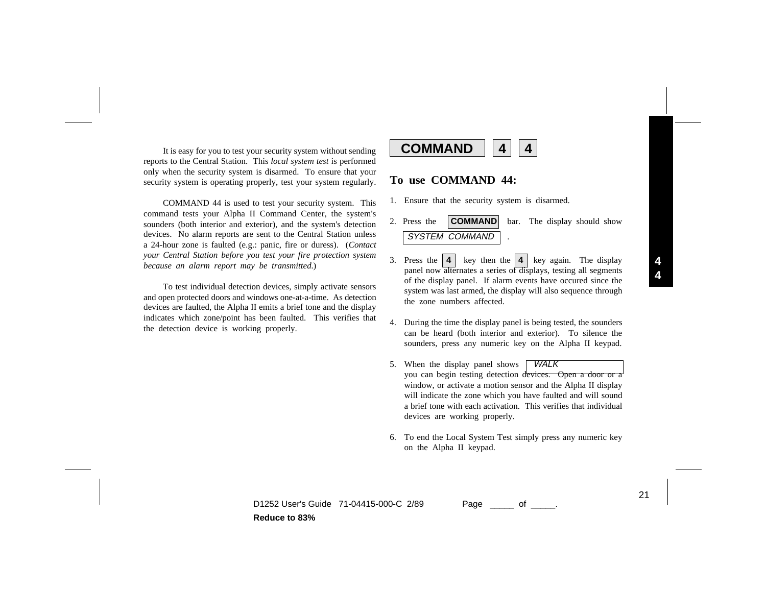It is easy for you to test your security system without sending reports to the Central Station. This *local system test* is performed only when the security system is disarmed. To ensure that your security system is operating properly, test your system regularly.

COMMAND 44 is used to test your security system. This command tests your Alpha II Command Center, the system's sounders (both interior and exterior), and the system's detection devices. No alarm reports are sent to the Central Station unless a 24-hour zone is faulted (e.g.: panic, fire or duress). (*Contact your Central Station before you test your fire protection system because an alarm report may be transmitted.*)

To test individual detection devices, simply activate sensors and open protected doors and windows one-at-a-time. As detection devices are faulted, the Alpha II emits a brief tone and the display indicates which zone/point has been faulted. This verifies that the detection device is working properly.



#### **To use COMMAND 44:**

- 1. Ensure that the security system is disarmed.
- 2. Press the **COMMAND** bar. The display should show SYSTEM COMMAND
- 3. Press the  $\begin{array}{|c|c|c|c|c|c|} \hline \end{array}$  key then the  $\begin{array}{|c|c|c|c|c|c|} \hline \end{array}$  key again. The display panel now alternates a series of displays, testing all segments of the display panel. If alarm events have occured since the system was last armed, the display will also sequence through the zone numbers affected.
- 4. During the time the display panel is being tested, the sounders can be heard (both interior and exterior). To silence the sounders, press any numeric key on the Alpha II keypad.
- 5. When the display panel shows WALK you can begin testing detection devices. Open a door or a window, or activate a motion sensor and the Alpha II display will indicate the zone which you have faulted and will sound a brief tone with each activation. This verifies that individual devices are working properly.
- 6. To end the Local System Test simply press any numeric key on the Alpha II keypad.

D1252 User's Guide 71-04415-000-C 2/89 Page of Fig. **Reduce to 83%**

**4 4**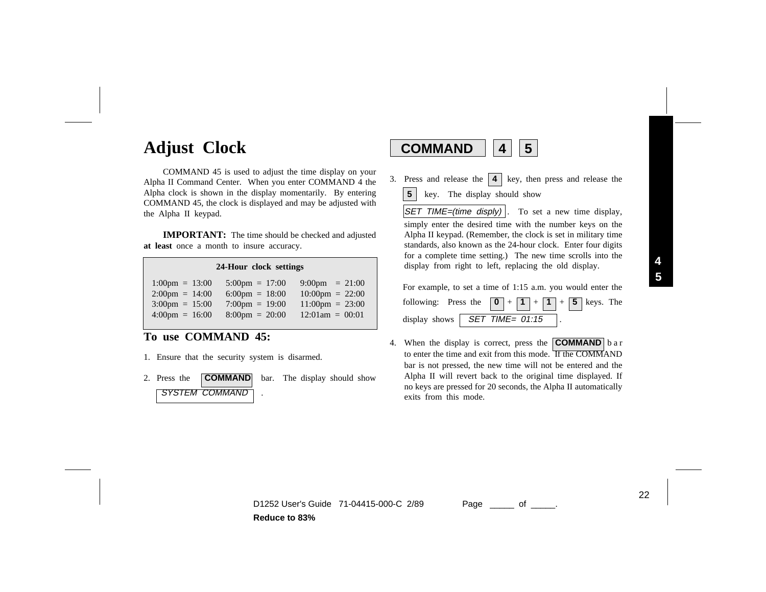# **Adjust Clock**

COMMAND 45 is used to adjust the time display on your Alpha II Command Center. When you enter COMMAND 4 the Alpha clock is shown in the display momentarily. By entering COMMAND 45, the clock is displayed and may be adjusted with the Alpha II keypad.

**IMPORTANT:** The time should be checked and adjusted **at least** once a month to insure accuracy.

#### **24-Hour clock settings**

| $1:00 \text{pm} = 13:00$ | $5:00 \text{pm} = 17:00$ | $9:00 \text{pm} = 21:00$  |
|--------------------------|--------------------------|---------------------------|
| $2:00 \text{pm} = 14:00$ | $6:00 \text{pm} = 18:00$ | $10:00 \text{pm} = 22:00$ |
| $3:00 \text{pm} = 15:00$ | $7:00 \text{pm} = 19:00$ | $11:00 \text{pm} = 23:00$ |
| $4:00 \text{pm} = 16:00$ | $8:00 \text{pm} = 20:00$ | $12:01am = 00:01$         |

### **To use COMMAND 45:**

- 1. Ensure that the security system is disarmed.
- 2. Press the **COMMAND** bar. The display should show SYSTEM COMMAND

**COMMAND**  $|4|5$ 

3. Press and release the  $\begin{array}{|c|c|c|c|c|} \hline \end{array}$  key, then press and release the **5** key. The display should show

SET TIME=(time disply). To set a new time display, simply enter the desired time with the number keys on the Alpha II keypad. (Remember, the clock is set in military time standards, also known as the 24-hour clock. Enter four digits for a complete time setting.) The new time scrolls into the display from right to left, replacing the old display.

For example, to set a time of 1:15 a.m. you would enter the

**4 5**

following: Press the  $\begin{bmatrix} 0 \\ +1 \end{bmatrix} + \begin{bmatrix} 1 \\ +1 \end{bmatrix} + \begin{bmatrix} 5 \\ 5 \end{bmatrix}$  keys. The display shows | SET TIME=  $01:15$ 

4. When the display is correct, press the **COMMAND** bar to enter the time and exit from this mode. If the COMMAND bar is not pressed, the new time will not be entered and the Alpha II will revert back to the original time displayed. If no keys are pressed for 20 seconds, the Alpha II automatically exits from this mode.

|               | D1252 User's Guide 71-04415-000-C 2/89 | Page ______ of ______. | 22 |
|---------------|----------------------------------------|------------------------|----|
| Reduce to 83% |                                        |                        |    |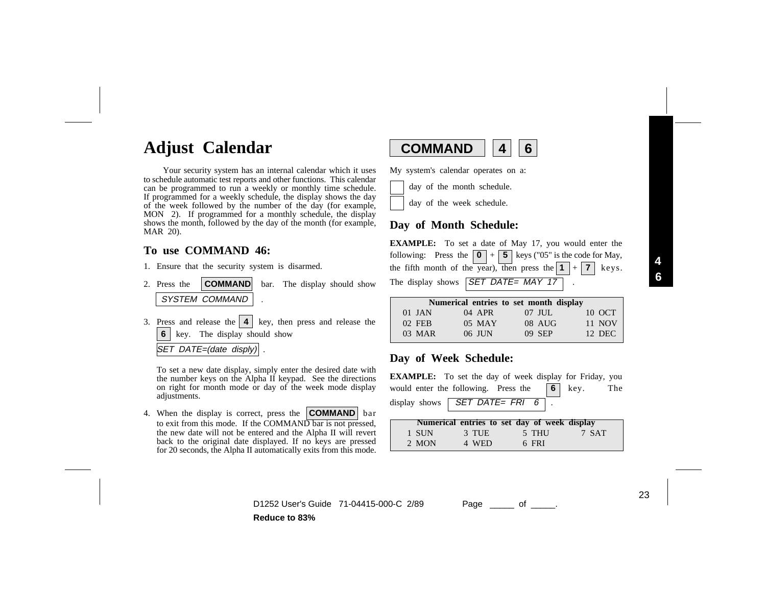### **Adjust Calendar**

Your security system has an internal calendar which it uses to schedule automatic test reports and other functions. This calendar can be programmed to run a weekly or monthly time schedule. If programmed for a weekly schedule, the display shows the day of the week followed by the number of the day (for example, MON 2). If programmed for a monthly schedule, the display shows the month, followed by the day of the month (for example, MAR 20).

#### **To use COMMAND 46:**

- 1. Ensure that the security system is disarmed.
- 2. Press the **COMMAND** bar. The display should show SYSTEM COMMAND
- 3. Press and release the  $\begin{pmatrix} 4 \\ 8 \end{pmatrix}$  key, then press and release the **6** key. The display should show

 $SET$  DATE=(date disply)

To set a new date display, simply enter the desired date with the number keys on the Alpha II keypad. See the directions on right for month mode or day of the week mode display adjustments.

4. When the display is correct, press the **COMMAND** bar to exit from this mode. If the COMMAND bar is not pressed, the new date will not be entered and the Alpha II will revert back to the original date displayed. If no keys are pressed for 20 seconds, the Alpha II automatically exits from this mode.

**Reduce to 83%**



My system's calendar operates on a:

day of the month schedule.

day of the week schedule.

#### **Day of Month Schedule:**

**EXAMPLE:** To set a date of May 17, you would enter the following: Press the  $\boxed{0}$  +  $\boxed{5}$  keys ("05" is the code for May, the fifth month of the year), then press the  $\begin{bmatrix} 1 \\ + \end{bmatrix}$  **7** keys.

The display shows  $\sqrt{SET\ DATE} = \sqrt{MAY\ 17}$ 

|          | Numerical entries to set month display |          |          |        |
|----------|----------------------------------------|----------|----------|--------|
| $01$ JAN |                                        | 04 APR   | 07 JUL   | 10 OCT |
| 02 FEB   |                                        | $05$ MAY | $08$ AUG | 11 NOV |
| 03 MAR   |                                        | $06$ JUN | 09 SEP   | 12 DEC |

### **Day of Week Schedule:**

**EXAMPLE:** To set the day of week display for Friday, you would enter the following. Press the  $\begin{bmatrix} 6 \end{bmatrix}$  key. The display shows  $\sqrt{SET\ DATE} = FRI = 6$ 

|       |       | Numerical entries to set day of week display |       |
|-------|-------|----------------------------------------------|-------|
| 1 SUN | 3 TUE | 5 THU                                        | 7 SAT |
| 2 MON | 4 WED | 6 FRI                                        |       |

D1252 User's Guide 71-04415-000-C 2/89

| Page |  |
|------|--|
|      |  |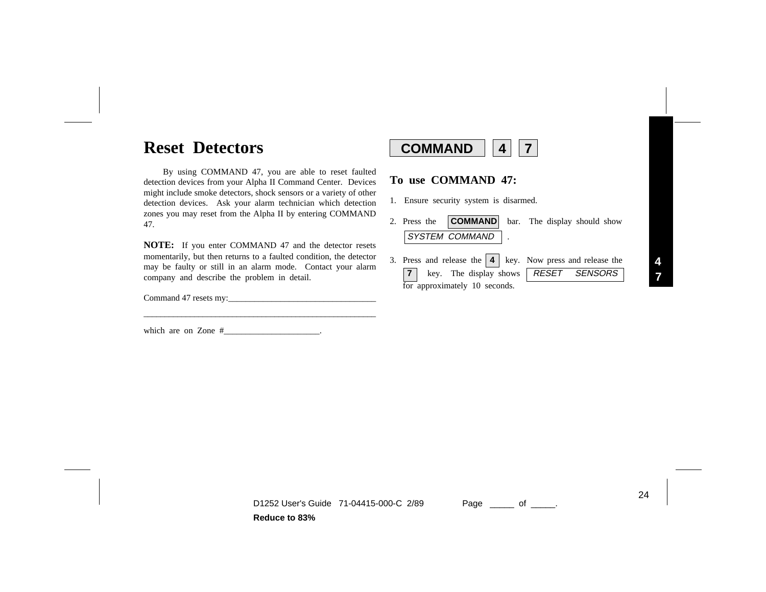### **Reset Detectors**

By using COMMAND 47, you are able to reset faulted detection devices from your Alpha II Command Center. Devices might include smoke detectors, shock sensors or a variety of other detection devices. Ask your alarm technician which detection zones you may reset from the Alpha II by entering COMMAND 47.

**NOTE:** If you enter COMMAND 47 and the detector resets momentarily, but then returns to a faulted condition, the detector may be faulty or still in an alarm mode. Contact your alarm company and describe the problem in detail.

\_\_\_\_\_\_\_\_\_\_\_\_\_\_\_\_\_\_\_\_\_\_\_\_\_\_\_\_\_\_\_\_\_\_\_\_\_\_\_\_\_\_\_\_\_\_\_\_\_\_\_\_\_\_\_

Command 47 resets my:\_\_\_\_\_\_\_\_\_\_\_\_\_\_\_\_\_\_\_\_\_\_\_\_\_\_\_\_\_\_\_\_\_\_

which are on Zone #



#### **To use COMMAND 47:**

- 1. Ensure security system is disarmed.
- 2. Press the **COMMAND** bar. The display should show SYSTEM COMMAND
- 3. Press and release the  $\begin{pmatrix} 4 \\ 4 \end{pmatrix}$  key. Now press and release the **7** key. The display shows **RESET SENSORS** for approximately 10 seconds.

**4 7**

D1252 User's Guide 71-04415-000-C 2/89 Page \_\_\_\_\_\_ of \_ **Reduce to 83%**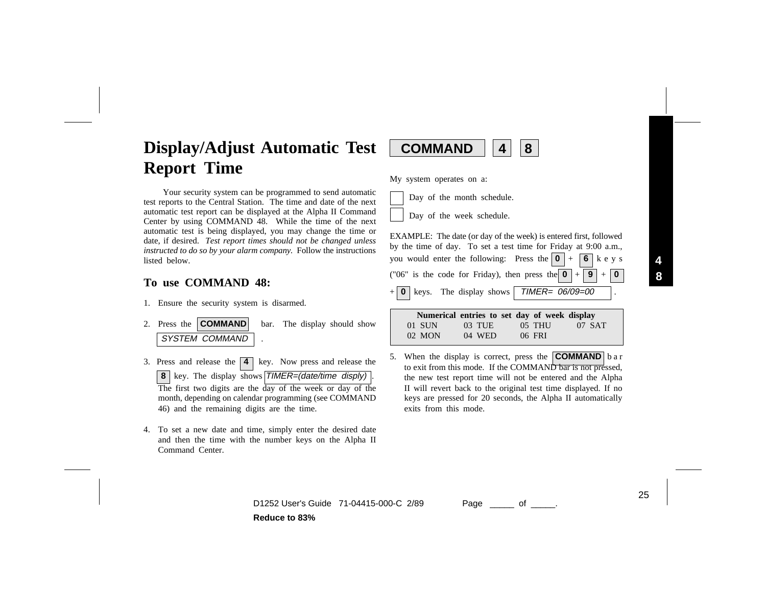# **Display/Adjust Automatic Test Report Time**

Your security system can be programmed to send automatic test reports to the Central Station. The time and date of the next automatic test report can be displayed at the Alpha II Command Center by using COMMAND 48. While the time of the next automatic test is being displayed, you may change the time or date, if desired. *Test report times should not be changed unless instructed to do so by your alarm company.* Follow the instructions listed below.

### **To use COMMAND 48:**

- 1. Ensure the security system is disarmed.
- 2. Press the **COMMAND** bar. The display should show SYSTEM COMMAND
- 3. Press and release the **4** key. Now press and release the **8** key. The display shows **TIMER=(date/time disply)** The first two digits are the day of the week or day of the month, depending on calendar programming (see COMMAND 46) and the remaining digits are the time.
- 4. To set a new date and time, simply enter the desired date and then the time with the number keys on the Alpha II Command Center.



My system operates on a:

Day of the month schedule.

Day of the week schedule.

EXAMPLE: The date (or day of the week) is entered first, followed by the time of day. To set a test time for Friday at 9:00 a.m., you would enter the following: Press the  $\begin{bmatrix} 0 \\ + \end{bmatrix}$  keys ("06" is the code for Friday), then press the  $\boxed{0} + \boxed{9} + \boxed{0}$  $+$  **0** keys. The display shows  $\vert$  **TIMER= 06/09=00** 

**4 8**

| Numerical entries to set day of week display |          |          |        |
|----------------------------------------------|----------|----------|--------|
| $01$ SUN                                     | $03$ TUE | $05$ THU | 07 SAT |
| $02$ MON                                     | 04 WED   | 06 FRI   |        |

5. When the display is correct, press the **COMMAND** bar to exit from this mode. If the COMMAND bar is not pressed, the new test report time will not be entered and the Alpha II will revert back to the original test time displayed. If no keys are pressed for 20 seconds, the Alpha II automatically exits from this mode.

|               | D1252 User's Guide 71-04415-000-C 2/89 |
|---------------|----------------------------------------|
| Reduce to 83% |                                        |

Page  $\rule{1em}{0.15mm}$  of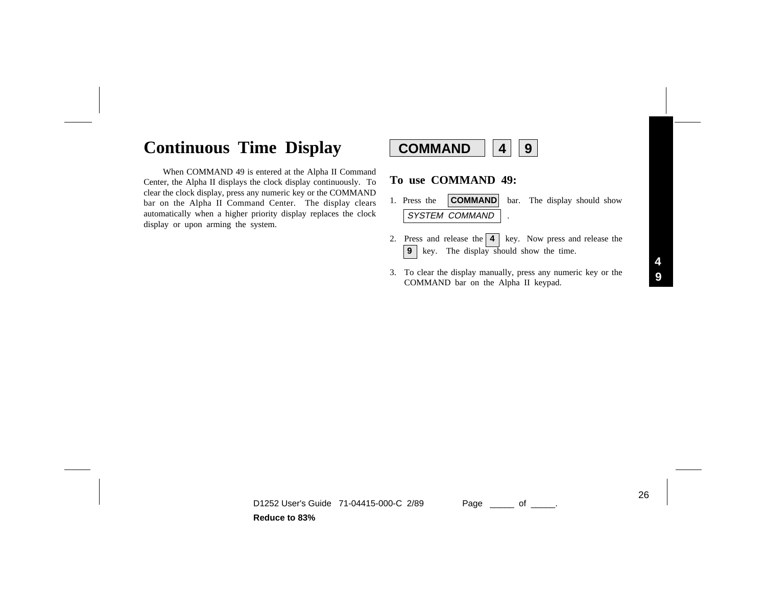# **Continuous Time Display**

When COMMAND 49 is entered at the Alpha II Command Center, the Alpha II displays the clock display continuously. To clear the clock display, press any numeric key or the COMMAND bar on the Alpha II Command Center. The display clears automatically when a higher priority display replaces the clock display or upon arming the system.



#### **To use COMMAND 49:**

- 1. Press the **COMMAND** bar. The display should show SYSTEM COMMAND
- 2. Press and release the **4** key. Now press and release the **9** key. The display should show the time.
- 3. To clear the display manually, press any numeric key or the COMMAND bar on the Alpha II keypad.

 $\Box$  of  $\Box$ 

**4 9**

| D1252 User's Guide 71-04415-000-C 2/89 |  | Page |
|----------------------------------------|--|------|
| <b>Reduce to 83%</b>                   |  |      |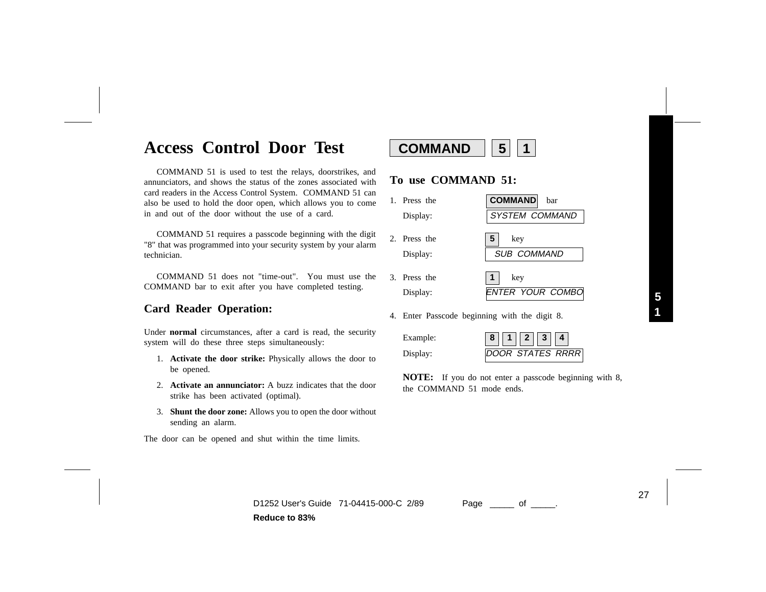### **Access Control Door Test**

COMMAND 51 is used to test the relays, doorstrikes, and annunciators, and shows the status of the zones associated with card readers in the Access Control System. COMMAND 51 can also be used to hold the door open, which allows you to come in and out of the door without the use of a card.

COMMAND 51 requires a passcode beginning with the digit "8" that was programmed into your security system by your alarm technician.

COMMAND 51 does not "time-out". You must use the COMMAND bar to exit after you have completed testing.

### **Card Reader Operation:**

Under **normal** circumstances, after a card is read, the security system will do these three steps simultaneously:

- 1. **Activate the door strike:** Physically allows the door to be opened.
- 2. **Activate an annunciator:** A buzz indicates that the door strike has been activated (optimal).
- 3. **Shunt the door zone:** Allows you to open the door without sending an alarm.

The door can be opened and shut within the time limits.



#### **To use COMMAND 51:**

| Press the                | <b>COMMAND</b><br>bar          |
|--------------------------|--------------------------------|
| Display:                 | <b>SYSTEM COMMAND</b>          |
| Press the<br>Display:    | 5<br>key<br><b>SUB COMMAND</b> |
| 3. Press the<br>Display: | key<br><b>ENTER YOUR COMBO</b> |

4. Enter Passcode beginning with the digit 8.

| Example: |  |                  |  |  |
|----------|--|------------------|--|--|
| Display: |  | DOOR STATES RRRR |  |  |

**NOTE:** If you do not enter a passcode beginning with 8, the COMMAND 51 mode ends.

|--|

D1252 User's Guide 71-04415-000-C 2/89 Page \_\_\_\_\_\_ of **Reduce to 83%**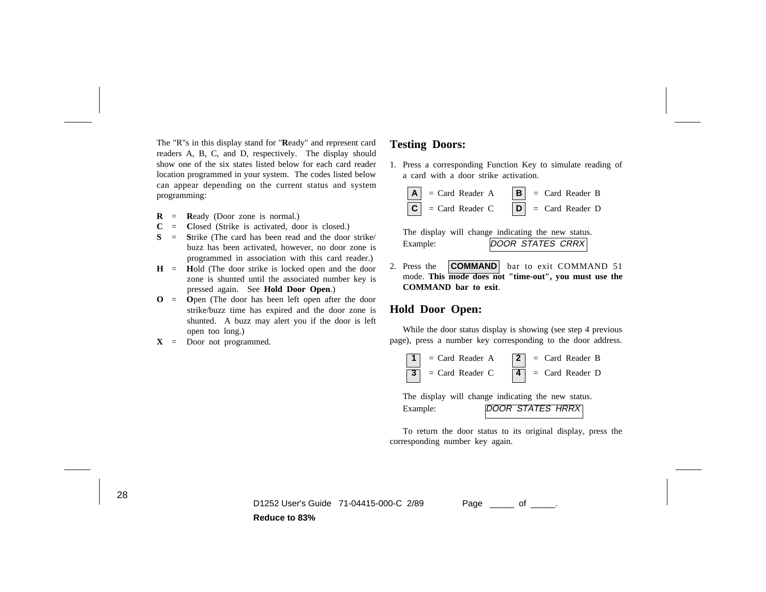The "R"s in this display stand for "**R**eady" and represent card readers A, B, C, and D, respectively. The display should show one of the six states listed below for each card reader location programmed in your system. The codes listed below can appear depending on the current status and system programming:

- **R** = **R**eady (Door zone is normal.)
- **C** = **C**losed (Strike is activated, door is closed.)
- **S** = **S**trike (The card has been read and the door strike/ buzz has been activated, however, no door zone is programmed in association with this card reader.)
- **H** = **H**old (The door strike is locked open and the door zone is shunted until the associated number key is pressed again. See **Hold Door Open**.)
- **O** = **O**pen (The door has been left open after the door strike/buzz time has expired and the door zone is shunted. A buzz may alert you if the door is left open too long.)
- **X** = Door not programmed.

#### **Testing Doors:**

1. Press a corresponding Function Key to simulate reading of a card with a door strike activation.



The display will change indicating the new status. Example: **DOOR STATES CRRX** 

2. Press the **COMMAND** bar to exit COMMAND 51 mode. **This mode does not "time-out", you must use the COMMAND bar to exit**.

#### **Hold Door Open:**

While the door status display is showing (see step 4 previous page), press a number key corresponding to the door address.

|                                                   | $\begin{array}{ c c c c c c } \hline \hline \textbf{1} & = \text{Card} \text{ Reader A} & \textbf{2} & = \text{Card} \text{Reader B} \end{array}$ |
|---------------------------------------------------|---------------------------------------------------------------------------------------------------------------------------------------------------|
| $\begin{bmatrix} 3 \end{bmatrix}$ = Card Reader C | $\begin{bmatrix} 4 \end{bmatrix}$ = Card Reader D                                                                                                 |

The display will change indicating the new status. Example: DOOR STATES HRRX

To return the door status to its original display, press the corresponding number key again.

| D1252 User's Guide 71-04415-000-C 2/89 |  | Page |  |
|----------------------------------------|--|------|--|
| Reduce to 83%                          |  |      |  |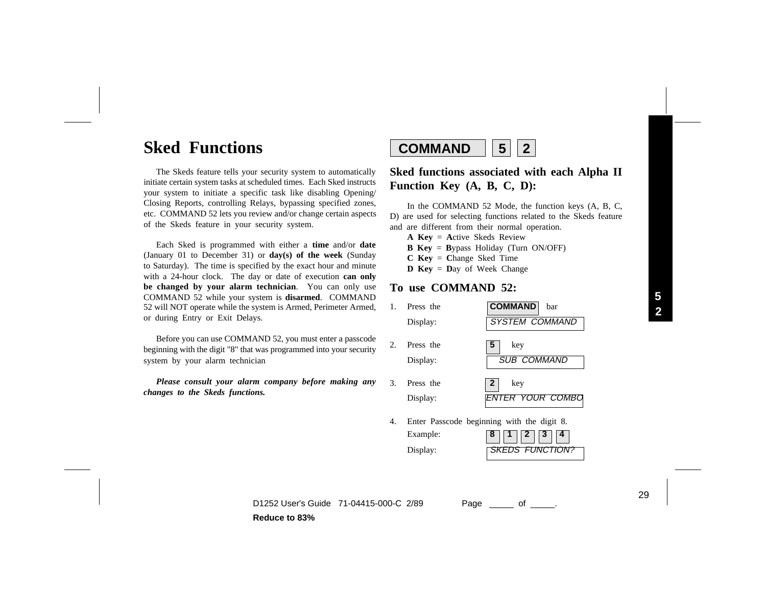### **Sked Functions**

The Skeds feature tells your security system to automatically initiate certain system tasks at scheduled times. Each Sked instructs your system to initiate a specific task like disabling Opening/ Closing Reports, controlling Relays, bypassing specified zones, etc. COMMAND 52 lets you review and/or change certain aspects of the Skeds feature in your security system.

Each Sked is programmed with either a **time** and/or **date** (January 01 to December 31) or **day(s) of the week** (Sunday to Saturday). The time is specified by the exact hour and minute with a 24-hour clock. The day or date of execution **can only be changed by your alarm technician**. You can only use COMMAND 52 while your system is **disarmed**. COMMAND 52 will NOT operate while the system is Armed, Perimeter Armed, or during Entry or Exit Delays.

Before you can use COMMAND 52, you must enter a passcode beginning with the digit "8" that was programmed into your security system by your alarm technician

*Please consult your alarm company before making any changes to the Skeds functions.*

## **COMMAND**  $\vert \vert 5 \vert \vert 2$

### **Sked functions associated with each Alpha II Function Key (A, B, C, D):**

In the COMMAND 52 Mode, the function keys (A, B, C, D) are used for selecting functions related to the Skeds feature and are different from their normal operation.

- **A Key** = **A**ctive Skeds Review
- **B Key** = **B**ypass Holiday (Turn ON/OFF)
- **C Key** = **C**hange Sked Time
- **D Key** = **D**ay of Week Change

### **To use COMMAND 52:**

1. Press the **COMMAND** bar Display: **SYSTEM COMMAND** 2. Press the **5** key Display: **SUB COMMAND** 3. Press the  $\vert 2 \vert$  key Display: **ENTER YOUR COMBO** 4. Enter Passcode beginning with the digit 8. Example: **8 12 13** Display: **SKEDS FUNCTION**?

D1252 User's Guide 71-04415-000-C 2/89 Page \_\_\_\_\_\_ of

29

**Reduce to 83%**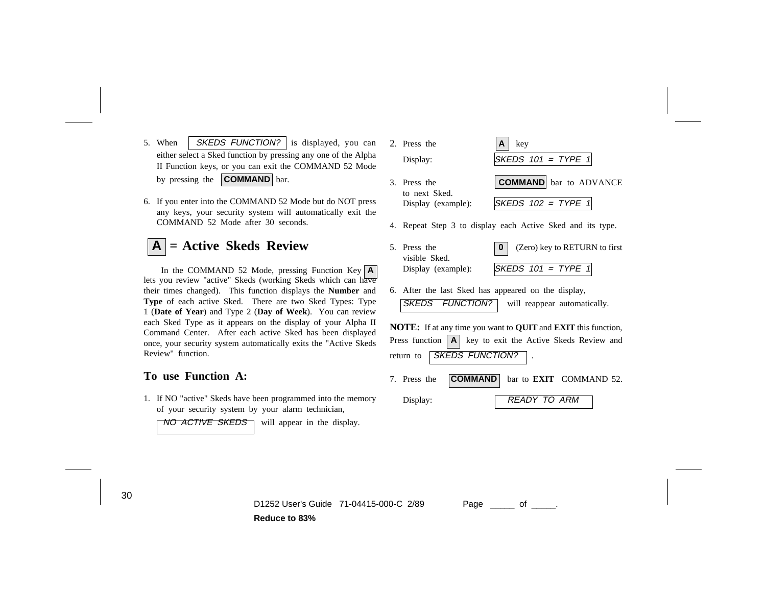- 5. When SKEDS FUNCTION? is displayed, you can either select a Sked function by pressing any one of the Alpha II Function keys, or you can exit the COMMAND 52 Mode by pressing the **COMMAND** bar.
- 6. If you enter into the COMMAND 52 Mode but do NOT press any keys, your security system will automatically exit the COMMAND 52 Mode after 30 seconds.

# **A = Active Skeds Review**

In the COMMAND 52 Mode, pressing Function Key **A** lets you review "active" Skeds (working Skeds which can have their times changed). This function displays the **Number** and **Type** of each active Sked. There are two Sked Types: Type 1 (**Date of Year**) and Type 2 (**Day of Week**). You can review each Sked Type as it appears on the display of your Alpha II Command Center. After each active Sked has been displayed once, your security system automatically exits the "Active Skeds Review" function.

#### **To use Function A:**

1. If NO "active" Skeds have been programmed into the memory of your security system by your alarm technician,

 $\overline{NO}$  ACTIVE SKEDS will appear in the display.

- 2. Press the  $|\mathbf{A}|$  key Display:  $SKEDS$  101 = TYPE 3. Press the **COMMAND** bar to ADVANCE to next Sked. Display (example): SKEDS 102 = TYPE 1
- 4. Repeat Step 3 to display each Active Sked and its type.
- visible Sked. Display (example): SKEDS 101 = TYPE 1

5. Press the **0** (Zero) key to RETURN to first

6. After the last Sked has appeared on the display, **SKEDS** FUNCTION? will reappear automatically.

**NOTE:** If at any time you want to **QUIT** and **EXIT** this function, Press function  $\mathbf{A}$  key to exit the Active Skeds Review and return to **SKEDS FUNCTION?** 

7. Press the **COMMAND** bar to **EXIT** COMMAND 52.

Display: READY TO ARM

D1252 User's Guide 71-04415-000-C 2/89 Page of **Reduce to 83%**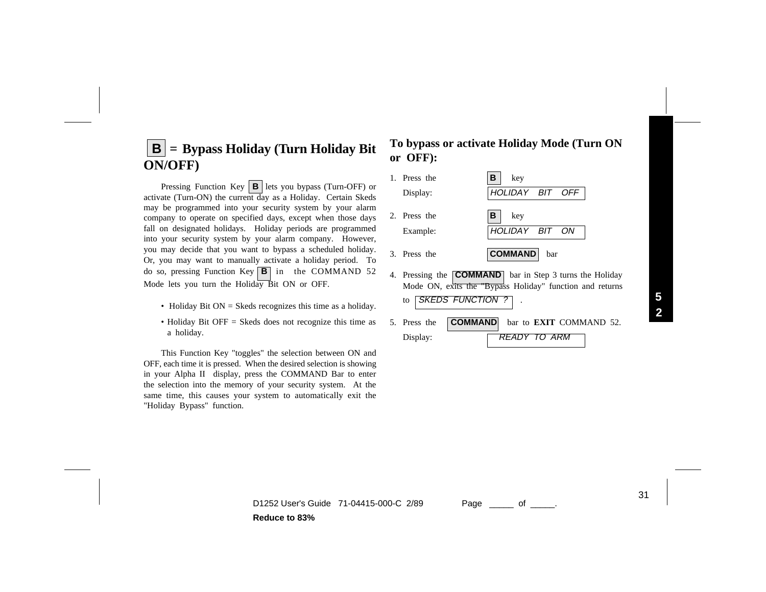### **B = Bypass Holiday (Turn Holiday Bit ON/OFF)**

Pressing Function Key **B** lets you bypass (Turn-OFF) or activate (Turn-ON) the current day as a Holiday. Certain Skeds may be programmed into your security system by your alarm company to operate on specified days, except when those days fall on designated holidays. Holiday periods are programmed into your security system by your alarm company. However, you may decide that you want to bypass a scheduled holiday. Or, you may want to manually activate a holiday period. To do so, pressing Function Key **B** in the COMMAND 52 Mode lets you turn the Holiday Bit ON or OFF.

- Holiday Bit ON = Skeds recognizes this time as a holiday.
- Holiday Bit OFF = Skeds does not recognize this time as a holiday.

This Function Key "toggles" the selection between ON and OFF, each time it is pressed. When the desired selection is showing in your Alpha II display, press the COMMAND Bar to enter the selection into the memory of your security system. At the same time, this causes your system to automatically exit the "Holiday Bypass" function.

**To bypass or activate Holiday Mode (Turn ON or OFF):**



- 4. Pressing the **COMMAND** bar in Step 3 turns the Holiday Mode ON, exits the "Bypass Holiday" function and returns to **SKEDS FUNCTION** ?
- 5. Press the **COMMAND** bar to **EXIT** COMMAND 52. Display: **READY TO ARM**

**5 2**

| D1252 User's Guide 71-04415-000-C 2/89 | Page |  |
|----------------------------------------|------|--|
| Reduce to 83%                          |      |  |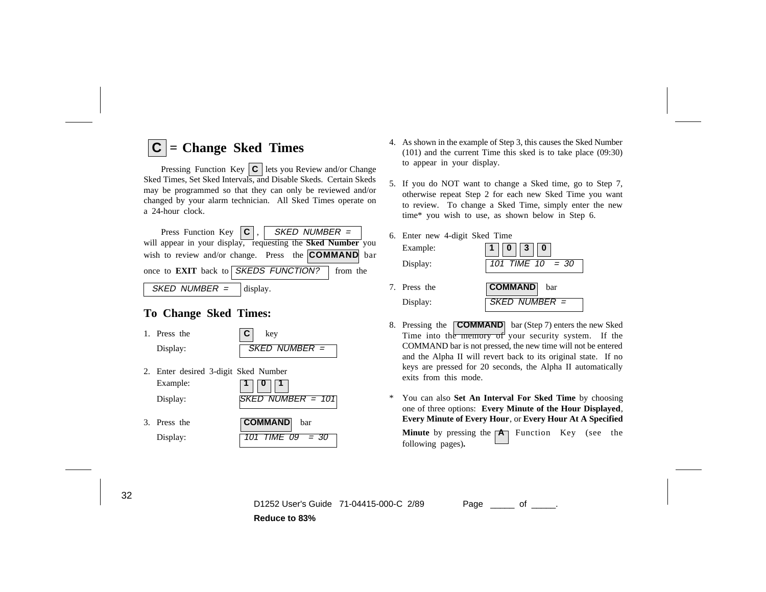### **C = Change Sked Times**

Pressing Function Key **C** lets you Review and/or Change Sked Times, Set Sked Intervals, and Disable Skeds. Certain Skeds may be programmed so that they can only be reviewed and/or changed by your alarm technician. All Sked Times operate on a 24-hour clock.

Press Function Key **C**, SKED NUMBER = will appear in your display, requesting the **Sked Number** you wish to review and/or change. Press the **COMMAND** bar once to **EXIT** back to  $SKEDS$  *FUNCTION?* from the  $SKED$  NUMBER =  $\frac{1}{3}$  display.

#### **To Change Sked Times:**

1. Press the **C** key Display: SKED NUMBER = 2. Enter desired 3-digit Sked Number

Display:  $\boxed{101}$  TIME 09 = 30



- 4. As shown in the example of Step 3, this causes the Sked Number (101) and the current Time this sked is to take place (09:30) to appear in your display.
- 5. If you do NOT want to change a Sked time, go to Step 7, otherwise repeat Step 2 for each new Sked Time you want to review. To change a Sked Time, simply enter the new time\* you wish to use, as shown below in Step 6.
- 6. Enter new 4-digit Sked Time

| Example:     |                                                          |
|--------------|----------------------------------------------------------|
| Display:     | $\overline{101}$ $\overline{11}$ $\overline{ME}$ 10 = 30 |
| 7. Press the | <b>COMMAND</b><br>bar                                    |
| Display:     | $SKED$ NUMBER $=$                                        |

- 8. Pressing the **COMMAND** bar (Step 7) enters the new Sked Time into the memory of your security system. If the COMMAND bar is not pressed, the new time will not be entered and the Alpha II will revert back to its original state. If no keys are pressed for 20 seconds, the Alpha II automatically exits from this mode.
- \* You can also **Set An Interval For Sked Time** by choosing one of three options: **Every Minute of the Hour Displayed**, **Every Minute of Every Hour**, or **Every Hour At A Specified**

**Minute** by pressing the **A** Function Key (see the following pages)**.**

32

D1252 User's Guide 71-04415-000-C 2/89 Page \_\_\_\_\_\_ of **Reduce to 83%**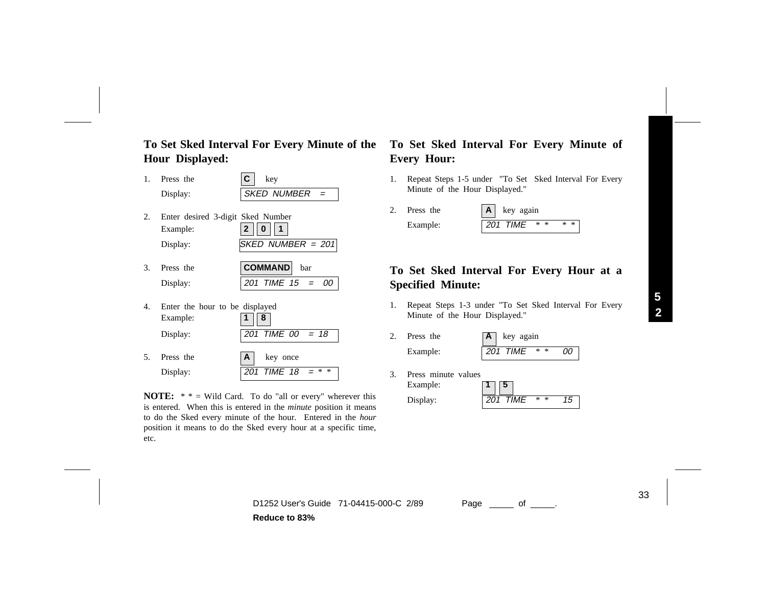### **To Set Sked Interval For Every Minute of the Hour Displayed:**

1. Press the **C** key  $Display:$  SKED NUMBER = 2. Enter desired 3-digit Sked Number Example:  $\begin{array}{|c|c|c|c|c|c|}\n\hline\n2 & 0 & 1\n\end{array}$ Display: SKED NUMBER = 201 3. Press the **COMMAND** bar Display:  $201$  TIME  $15 = 00$ 4. Enter the hour to be displayed Example: **1 | 8** Display:  $201$  TIME  $00 = 18$ 5. Press the **A** key once Display: 201 TIME 18 = *\* \**

**NOTE:** \* \* = Wild Card. To do "all or every" wherever this is entered. When this is entered in the *minute* position it means to do the Sked every minute of the hour. Entered in the *hour* position it means to do the Sked every hour at a specific time, etc.

### **To Set Sked Interval For Every Minute of Every Hour:**

- 1. Repeat Steps 1-5 under "To Set Sked Interval For Every Minute of the Hour Displayed."
- 2. Press the **A** key again Example: 201 TIME *\* \* \* \**

### **To Set Sked Interval For Every Hour at a Specified Minute:**

- 1. Repeat Steps 1-3 under "To Set Sked Interval For Every Minute of the Hour Displayed."
- 2. Press the **A** key again Example: 201 TIME *\* \** 00
- 3. Press minute values Example: **1 5**

Display: 201 TIME *\* \** 15

|               | D1252 User's Guide 71-04415-000-C 2/89 | Page |  |
|---------------|----------------------------------------|------|--|
| Reduce to 83% |                                        |      |  |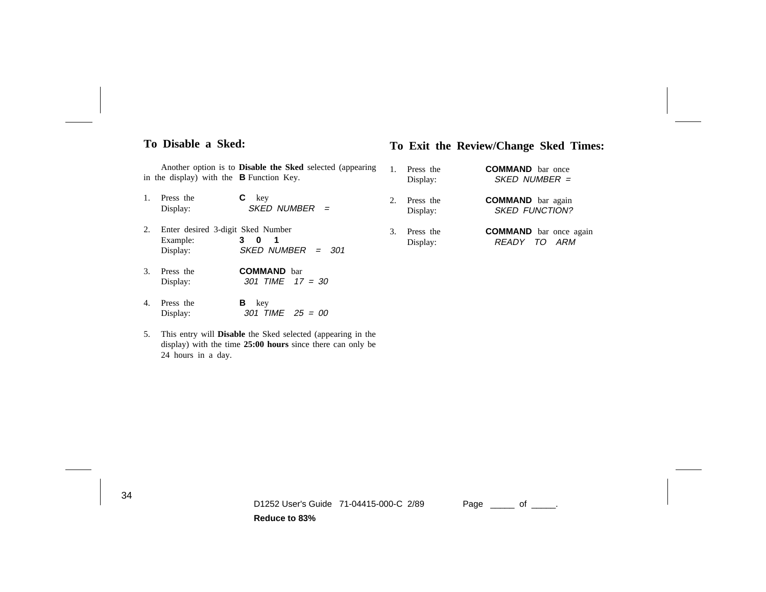### **To Disable a Sked:**

### **To Exit the Review/Change Sked Times:**

Another option is to **Disable the Sked** selected (appearing in the display) with the **B** Function Key.

- 1. Press the **C** key Display: SKED NUMBER = 2. Enter desired 3-digit Sked Number Example: **3** 0 1 Display: SKED NUMBER = 301 3. Press the **COMMAND** bar Display: 301 TIME 17 = 30 4. Press the **B** key Display:  $301 \text{ TIME } 25 = 00$
- 5. This entry will **Disable** the Sked selected (appearing in the display) with the time **25:00 hours** since there can only be 24 hours in a day.

1. Press the **COMMAND** bar once Display: SKED NUMBER = 2. Press the **COMMAND** bar again Display: SKED FUNCTION? 3. Press the **COMMAND** bar once again Display: READY TO ARM

34

D1252 User's Guide 71-04415-000-C 2/89 Page \_\_\_\_\_\_ of **Reduce to 83%**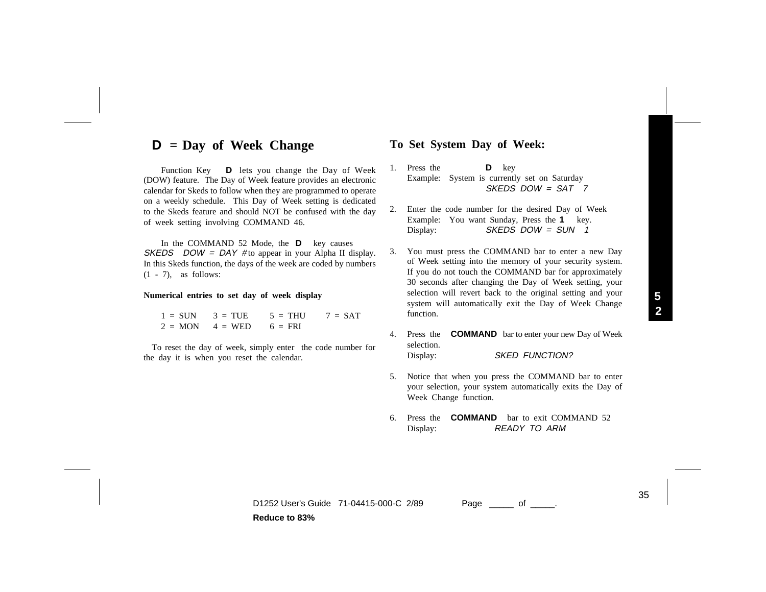### **D = Day of Week Change**

Function Key **D** lets you change the Day of Week (DOW) feature. The Day of Week feature provides an electronic calendar for Skeds to follow when they are programmed to operate on a weekly schedule. This Day of Week setting is dedicated to the Skeds feature and should NOT be confused with the day of week setting involving COMMAND 46.

In the COMMAND 52 Mode, the **D** key causes SKEDS  $DOW = DAY #$  to appear in your Alpha II display. In this Skeds function, the days of the week are coded by numbers (1 - 7), as follows:

#### **Numerical entries to set day of week display**

 $1 =$  SUN  $3 =$  TUE  $5 =$  THU  $7 =$  SAT  $2 = MON$   $4 = WED$   $6 = FRI$ 

To reset the day of week, simply enter the code number for the day it is when you reset the calendar.

### **To Set System Day of Week:**

- 1. Press the **D** key Example: System is currently set on Saturday SKEDS DOW = SAT 7
- 2. Enter the code number for the desired Day of Week Example: You want Sunday, Press the **1** key. Display: SKEDS DOW = SUN 1
- 3. You must press the COMMAND bar to enter a new Day of Week setting into the memory of your security system. If you do not touch the COMMAND bar for approximately 30 seconds after changing the Day of Week setting, your selection will revert back to the original setting and your system will automatically exit the Day of Week Change function.
- 4. Press the **COMMAND** bar to enter your new Day of Week selection. Display: SKED FUNCTION?
- 5. Notice that when you press the COMMAND bar to enter your selection, your system automatically exits the Day of Week Change function.
- 6. Press the **COMMAND** bar to exit COMMAND 52 Display: READY TO ARM

D1252 User's Guide 71-04415-000-C 2/89 Page \_\_\_\_\_\_ of **Reduce to 83%**

35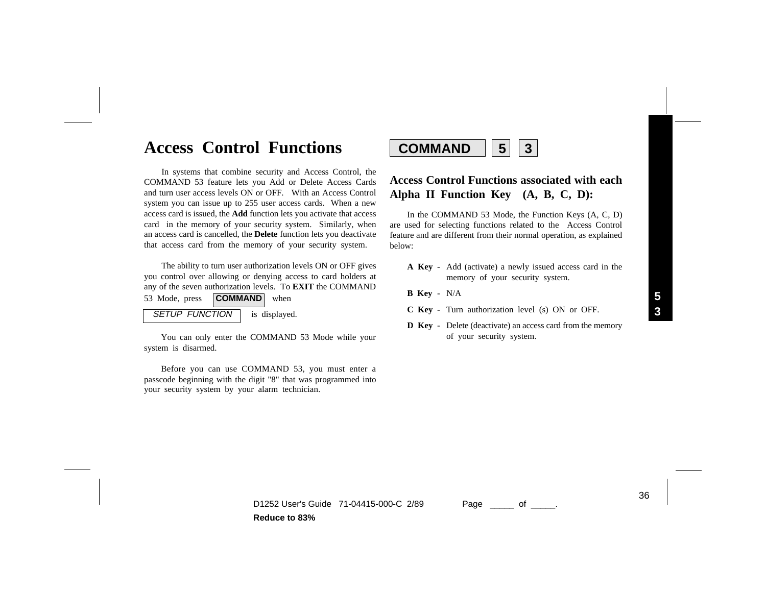### **Access Control Functions**

In systems that combine security and Access Control, the COMMAND 53 feature lets you Add or Delete Access Cards and turn user access levels ON or OFF. With an Access Control system you can issue up to 255 user access cards. When a new access card is issued, the **Add** function lets you activate that access card in the memory of your security system. Similarly, when an access card is cancelled, the **Delete** function lets you deactivate that access card from the memory of your security system.

The ability to turn user authorization levels ON or OFF gives you control over allowing or denying access to card holders at any of the seven authorization levels. To **EXIT** the COMMAND

53 Mode, press **COMMAND** when SETUP FUNCTION is displayed.

You can only enter the COMMAND 53 Mode while your system is disarmed.

Before you can use COMMAND 53, you must enter a passcode beginning with the digit "8" that was programmed into your security system by your alarm technician.

# $COMMAND$   $| 5 | 3$

**Access Control Functions associated with each Alpha II Function Key (A, B, C, D):**

In the COMMAND 53 Mode, the Function Keys (A, C, D) are used for selecting functions related to the Access Control feature and are different from their normal operation, as explained below:

- **A Key** Add (activate) a newly issued access card in the memory of your security system.
- **B Key** N/A
- **C Key** Turn authorization level (s) ON or OFF.
- **D Key** Delete (deactivate) an access card from the memory of your security system.

D1252 User's Guide 71-04415-000-C 2/89 Page \_\_\_\_\_\_ of \_ **Reduce to 83%**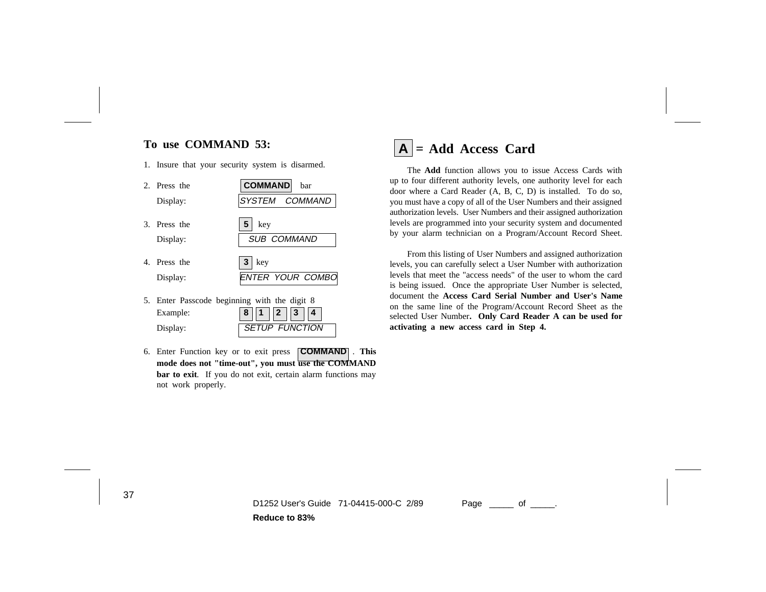### **To use COMMAND 53:**

- 1. Insure that your security system is disarmed.
- 2. Press the **COMMAND** bar Display: SYSTEM COMMAND 3. Press the **5** key Display: SUB COMMAND 4. Press the **3** key Display: **ENTER YOUR COMBO**
- 5. Enter Passcode beginning with the digit 8 Example: **81 12 34** Display: SETUP FUNCTION
- 6. Enter Function key or to exit press **COMMAND** . **This** mode does not "time-out", you must use the COMMAND **bar to exit**. If you do not exit, certain alarm functions may not work properly.

# **A = Add Access Card**

The **Add** function allows you to issue Access Cards with up to four different authority levels, one authority level for each door where a Card Reader (A, B, C, D) is installed. To do so, you must have a copy of all of the User Numbers and their assigned authorization levels. User Numbers and their assigned authorization levels are programmed into your security system and documented by your alarm technician on a Program/Account Record Sheet.

From this listing of User Numbers and assigned authorization levels, you can carefully select a User Number with authorization levels that meet the "access needs" of the user to whom the card is being issued. Once the appropriate User Number is selected, document the **Access Card Serial Number and User's Name** on the same line of the Program/Account Record Sheet as the selected User Number**. Only Card Reader A can be used for activating a new access card in Step 4.**

37

D1252 User's Guide 71-04415-000-C 2/89 Page \_\_\_\_\_\_ of **Reduce to 83%**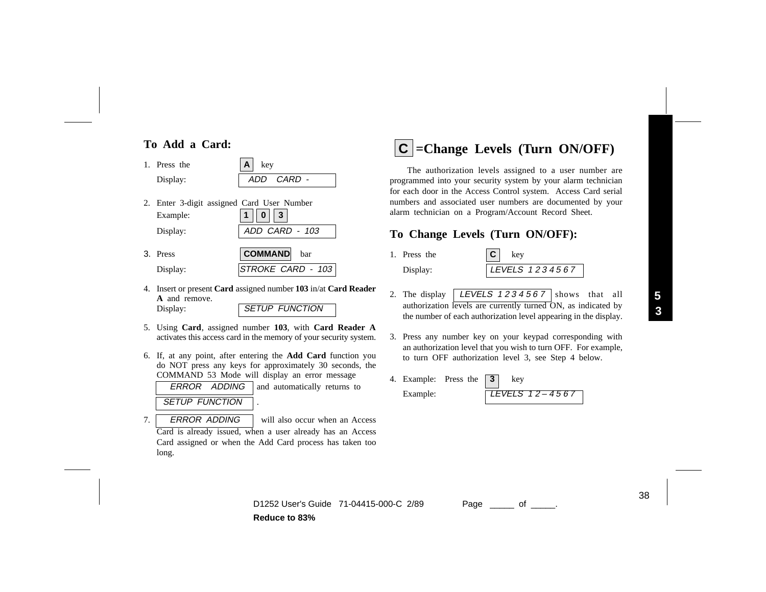### **To Add a Card:**

- 1. Press the  $|\mathbf{A}|$  key Display: ADD CARD -
- 2. Enter 3-digit assigned Card User Number Example: **1** | **0** | **3**

Display: | ADD CARD - 103

- 3. Press **COMMAND** bar Display: |STROKE CARD - 103
- 4. Insert or present **Card** assigned number **103** in/at **Card Reader A** and remove. Display: SETUP FUNCTION
- 5. Using **Card**, assigned number **103**, with **Card Reader A** activates this access card in the memory of your security system.
- 6. If, at any point, after entering the **Add Card** function you do NOT press any keys for approximately 30 seconds, the COMMAND 53 Mode will display an error message

|                  | <b>ERROR</b> ADDING $\vert$ and automatically returns to |
|------------------|----------------------------------------------------------|
| SETUP FUNCTION . |                                                          |

7. ERROR ADDING will also occur when an Access Card is already issued, when a user already has an Access Card assigned or when the Add Card process has taken too long.

## **C =Change Levels (Turn ON/OFF)**

The authorization levels assigned to a user number are programmed into your security system by your alarm technician for each door in the Access Control system. Access Card serial numbers and associated user numbers are documented by your alarm technician on a Program/Account Record Sheet.

### **To Change Levels (Turn ON/OFF):**

- 1. Press the **C** key Display: | LEVELS 1 2 3 4 5 6 7
	-
- 2. The display  $LEVELS$  1234567 shows that all authorization levels are currently turned ON, as indicated by the number of each authorization level appearing in the display.
- 3. Press any number key on your keypad corresponding with an authorization level that you wish to turn OFF. For example, to turn OFF authorization level 3, see Step 4 below.
- 4. Example: Press the **3** key Example:  $\sqrt{LEV}$ ELS 12-4567

38

**Reduce to 83%**

D1252 User's Guide 71-04415-000-C 2/89 Page of

**5 3**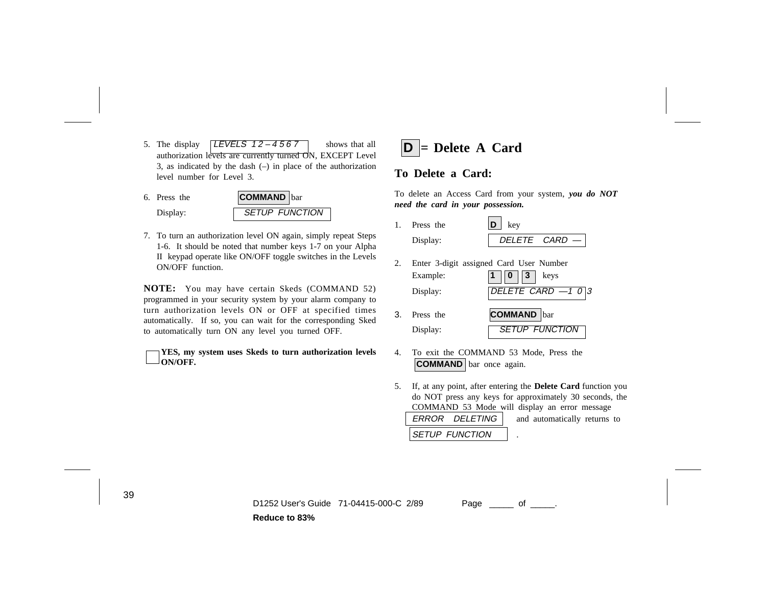- 5. The display  $LEVELS$  12 4567 shows that all authorization levels are currently turned ON, EXCEPT Level 3, as indicated by the dash (–) in place of the authorization level number for Level 3.
- 6. Press the **COMMAND** bar Display: **SETUP FUNCTION**
- 7. To turn an authorization level ON again, simply repeat Steps 1-6. It should be noted that number keys 1-7 on your Alpha II keypad operate like ON/OFF toggle switches in the Levels ON/OFF function.

**NOTE:** You may have certain Skeds (COMMAND 52) programmed in your security system by your alarm company to turn authorization levels ON or OFF at specified times automatically. If so, you can wait for the corresponding Sked to automatically turn ON any level you turned OFF.

**YES, my system uses Skeds to turn authorization levels ON/OFF.**

## **D = Delete A Card**

### **To Delete a Card:**

To delete an Access Card from your system, *you do NOT need the card in your possession.*

- 1. Press the **D** key Display: DELETE CARD
- 2. Enter 3-digit assigned Card User Number Example:  $\boxed{1}$   $\boxed{0}$   $\boxed{3}$  keys Display: DELETE CARD -1 0 3
- 3. Press the **COMMAND** bar Display: **SETUP FUNCTION**
- 4. To exit the COMMAND 53 Mode, Press the **COMMAND** bar once again.
- 5. If, at any point, after entering the **Delete Card** function you do NOT press any keys for approximately 30 seconds, the COMMAND 53 Mode will display an error message

| ERROR DELETING | and automatically returns to |
|----------------|------------------------------|
| SETUP FUNCTION |                              |



D1252 User's Guide 71-04415-000-C 2/89 Page \_\_\_\_\_\_ of **Reduce to 83%**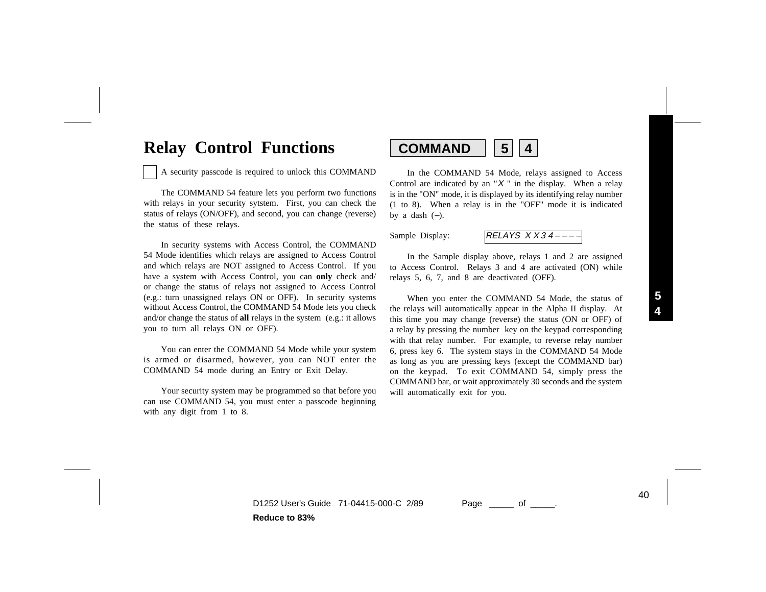### **Relay Control Functions**

A security passcode is required to unlock this COMMAND

The COMMAND 54 feature lets you perform two functions with relays in your security sytstem. First, you can check the status of relays (ON/OFF), and second, you can change (reverse) the status of these relays.

In security systems with Access Control, the COMMAND 54 Mode identifies which relays are assigned to Access Control and which relays are NOT assigned to Access Control. If you have a system with Access Control, you can **only** check and/ or change the status of relays not assigned to Access Control (e.g.: turn unassigned relays ON or OFF). In security systems without Access Control, the COMMAND 54 Mode lets you check and/or change the status of **all** relays in the system (e.g.: it allows you to turn all relays ON or OFF).

You can enter the COMMAND 54 Mode while your system is armed or disarmed, however, you can NOT enter the COMMAND 54 mode during an Entry or Exit Delay.

Your security system may be programmed so that before you can use COMMAND 54, you must enter a passcode beginning with any digit from 1 to 8.



In the COMMAND 54 Mode, relays assigned to Access Control are indicated by an " $X$ " in the display. When a relay is in the "ON" mode, it is displayed by its identifying relay number (1 to 8). When a relay is in the "OFF" mode it is indicated by a dash  $(-)$ .

#### Sample Display:  $RELAYS$   $XX34---$

In the Sample display above, relays 1 and 2 are assigned to Access Control. Relays 3 and 4 are activated (ON) while relays 5, 6, 7, and 8 are deactivated (OFF).

When you enter the COMMAND 54 Mode, the status of the relays will automatically appear in the Alpha II display. At this time you may change (reverse) the status (ON or OFF) of a relay by pressing the number key on the keypad corresponding with that relay number. For example, to reverse relay number 6, press key 6. The system stays in the COMMAND 54 Mode as long as you are pressing keys (except the COMMAND bar) on the keypad. To exit COMMAND 54, simply press the COMMAND bar, or wait approximately 30 seconds and the system will automatically exit for you.

D1252 User's Guide 71-04415-000-C 2/89 Page \_\_\_\_\_\_ of **Reduce to 83%**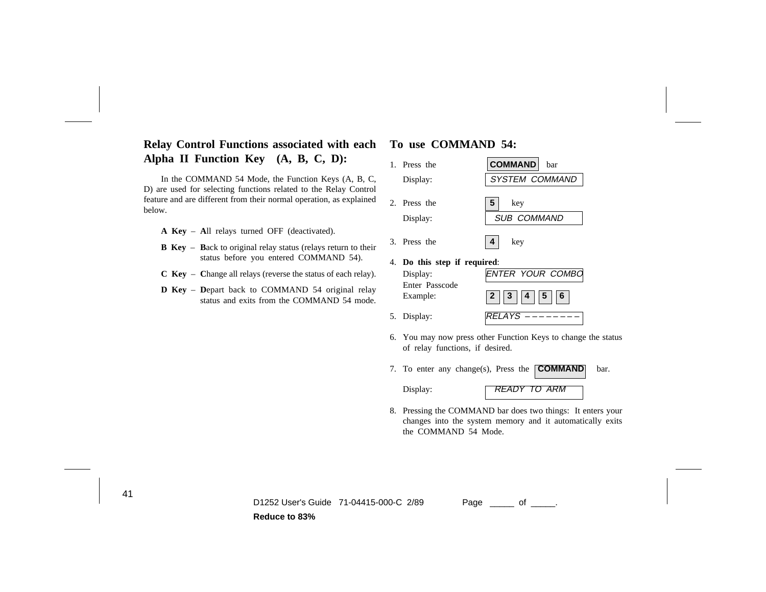### **Relay Control Functions associated with each To use COMMAND 54: Alpha II Function Key (A, B, C, D):**

In the COMMAND 54 Mode, the Function Keys (A, B, C, D) are used for selecting functions related to the Relay Control feature and are different from their normal operation, as explained below.

- **A Key A**ll relays turned OFF (deactivated).
- **B Key B**ack to original relay status (relays return to their status before you entered COMMAND 54).
- **C Key C**hange all relays (reverse the status of each relay).
- **D Key D**epart back to COMMAND 54 original relay status and exits from the COMMAND 54 mode.

| 1. Press the<br>Display:                                               | <b>COMMAND</b><br>har<br>SYSTEM COMMAND                     |
|------------------------------------------------------------------------|-------------------------------------------------------------|
| 2. Press the<br>Display:                                               | 5<br>key<br><b>SUB COMMAND</b>                              |
| 3. Press the                                                           | key<br>4                                                    |
| 4. Do this step if required:<br>Display:<br>Enter Passcode<br>Example: | <b>ENTER YOUR COMBO</b><br>$\mathbf{2}$<br>5<br>6<br>З<br>4 |

- 6. You may now press other Function Keys to change the status of relay functions, if desired.
- 7. To enter any change(s), Press the **COMMAND** bar.
	- Display: **READY TO ARM**

5. Display:  $RELAYS$  – – – – – –

8. Pressing the COMMAND bar does two things: It enters your changes into the system memory and it automatically exits the COMMAND 54 Mode.

|               | D1252 User's Guide 71-04415-000-C 2/89 | Page |  |
|---------------|----------------------------------------|------|--|
| Reduce to 83% |                                        |      |  |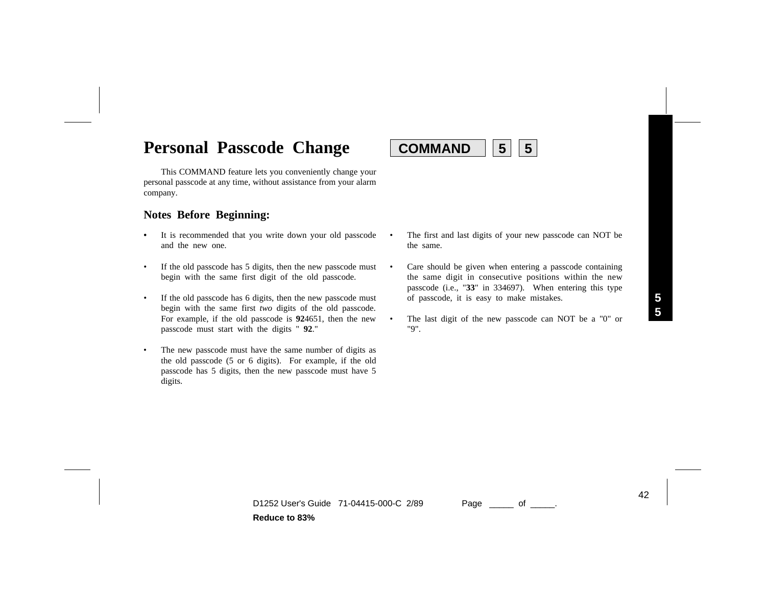### **Personal Passcode Change**

This COMMAND feature lets you conveniently change your personal passcode at any time, without assistance from your alarm company.

#### **Notes Before Beginning:**

- **•** It is recommended that you write down your old passcode and the new one.
- If the old passcode has 5 digits, then the new passcode must begin with the same first digit of the old passcode.
- If the old passcode has 6 digits, then the new passcode must begin with the same first *two* digits of the old passcode. For example, if the old passcode is **92**4651, then the new passcode must start with the digits " **92**."
- The new passcode must have the same number of digits as the old passcode (5 or 6 digits). For example, if the old passcode has 5 digits, then the new passcode must have 5 digits.

**COMMAND**  $\vert 5 \vert 5$ 

- The first and last digits of your new passcode can NOT be the same.
- Care should be given when entering a passcode containing the same digit in consecutive positions within the new passcode (i.e., "**33**" in 334697). When entering this type of passcode, it is easy to make mistakes.
- The last digit of the new passcode can NOT be a "0" or "9".

D1252 User's Guide 71-04415-000-C 2/89 Page \_\_\_\_\_\_ of **Reduce to 83%**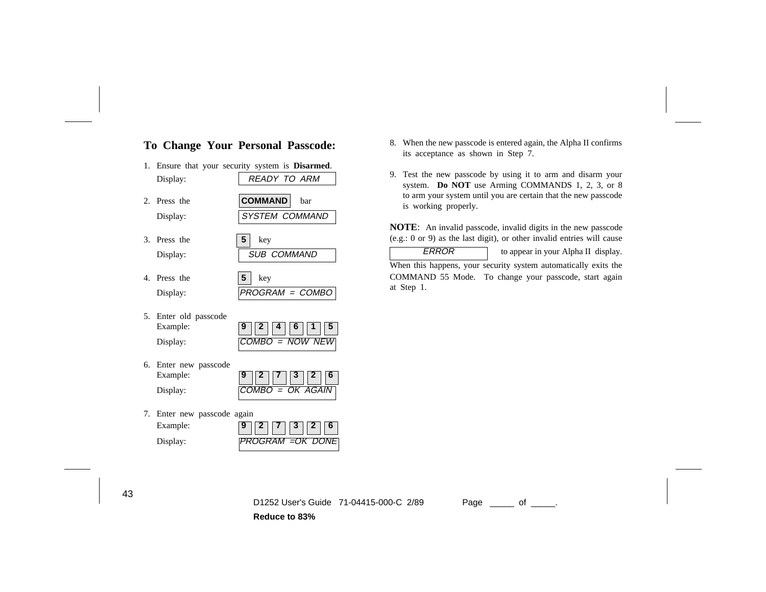|                |                             | 1. Ensure that your security system is <b>Disarmed</b> . |                           |
|----------------|-----------------------------|----------------------------------------------------------|---------------------------|
|                | Display:                    | <b>READY TO ARM</b>                                      | 9.<br>Test the<br>system. |
| 2.             | Press the                   | <b>COMMAND</b><br>bar                                    | to arm<br>is work         |
|                | Display:                    | SYSTEM COMMAND                                           |                           |
|                |                             |                                                          | <b>NOTE:</b> $A$          |
| 3 <sub>1</sub> | Press the                   | 5<br>key                                                 | (e.g.: 0 or               |
|                | Display:                    | <b>SUB COMMAND</b>                                       | F                         |
|                |                             |                                                          | When this                 |
|                | 4. Press the                | 5<br>key                                                 | <b>COMMAN</b>             |
|                | Display:                    | PROGRAM = COMBO                                          | at Step 1.                |
|                |                             |                                                          |                           |
|                | 5. Enter old passcode       |                                                          |                           |
|                | Example:                    | 5<br>9<br>$\mathbf 2$<br>6<br>4                          |                           |
|                | Display:                    | <i>COMBO = NOW NEW</i>                                   |                           |
|                |                             |                                                          |                           |
|                | 6. Enter new passcode       |                                                          |                           |
|                | Example:                    | 9<br>2<br>6<br>2                                         |                           |
|                | Display:                    | COMBO = OK AGAIN                                         |                           |
|                |                             |                                                          |                           |
|                | 7. Enter new passcode again |                                                          |                           |
|                | Example:                    | 9<br>2<br>6                                              |                           |
|                | Display:                    | PROGRAM =OK DONE                                         |                           |
|                |                             |                                                          |                           |
|                |                             |                                                          |                           |
|                |                             |                                                          |                           |

- **To Change Your Personal Passcode:**
- 8. When the new passcode is entered again, the Alpha II confirms its acceptance as shown in Step 7.
- 9. Test the new passcode by using it to arm and disarm your system. **Do NOT** use Arming COMMANDS 1, 2, 3, or 8 to arm your system until you are certain that the new passcode is working properly.

**NOTE**: An invalid passcode, invalid digits in the new passcode (e.g.: 0 or 9) as the last digit), or other invalid entries will cause

ERROR to appear in your Alpha II display. When this happens, your security system automatically exits the COMMAND 55 Mode. To change your passcode, start again

43

D1252 User's Guide 71-04415-000-C 2/89 Page \_\_\_\_\_ of \_\_\_\_\_. **Reduce to 83%**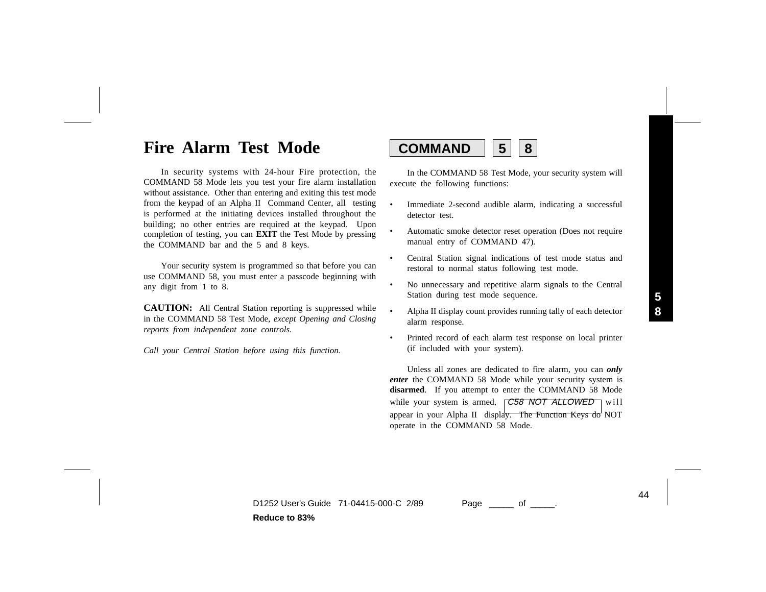## **Fire Alarm Test Mode**

In security systems with 24-hour Fire protection, the COMMAND 58 Mode lets you test your fire alarm installation without assistance. Other than entering and exiting this test mode from the keypad of an Alpha II Command Center, all testing is performed at the initiating devices installed throughout the building; no other entries are required at the keypad. Upon completion of testing, you can **EXIT** the Test Mode by pressing the COMMAND bar and the 5 and 8 keys.

Your security system is programmed so that before you can use COMMAND 58, you must enter a passcode beginning with any digit from 1 to 8.

**CAUTION:** All Central Station reporting is suppressed while in the COMMAND 58 Test Mode, *except Opening and Closing reports from independent zone controls.*

*Call your Central Station before using this function.*

**COMMAND**  $\vert \vert 5 \vert \vert 8$ 

In the COMMAND 58 Test Mode, your security system will execute the following functions:

- Immediate 2-second audible alarm, indicating a successful detector test.
- Automatic smoke detector reset operation (Does not require manual entry of COMMAND 47).
- Central Station signal indications of test mode status and restoral to normal status following test mode.
- No unnecessary and repetitive alarm signals to the Central Station during test mode sequence.
- Alpha II display count provides running tally of each detector alarm response.
- Printed record of each alarm test response on local printer (if included with your system).

Unless all zones are dedicated to fire alarm, you can *only enter* the COMMAND 58 Mode while your security system is **disarmed**. If you attempt to enter the COMMAND 58 Mode while your system is armed,  $\sqrt{C58}$  NOT ALLOWED will appear in your Alpha II display. The Function Keys do NOT operate in the COMMAND 58 Mode.

D1252 User's Guide 71-04415-000-C 2/89 Page \_\_\_\_\_\_ of **Reduce to 83%**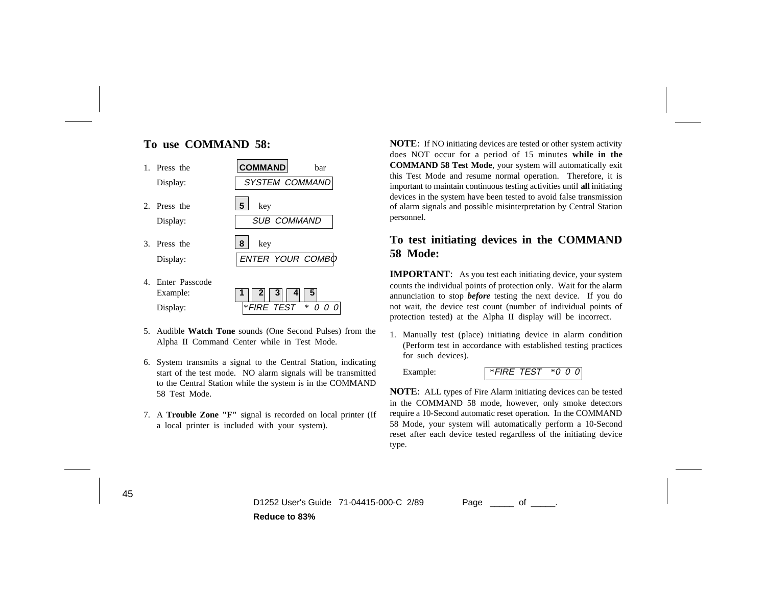# 1. Press the **COMMAND** bar Display: SYSTEM COMMAND 2. Press the  $\begin{array}{|c|c|c|c|c|} \hline 5 & \text{key} \end{array}$ Display: SUB COMMAND 3. Press the **8** key Display: **ENTER YOUR COMBO** 4. Enter Passcode Example:

5. Audible **Watch Tone** sounds (One Second Pulses) from the Alpha II Command Center while in Test Mode.

Display:  $*FIRE TEST * 0 0 0$ 

- 6. System transmits a signal to the Central Station, indicating start of the test mode. NO alarm signals will be transmitted to the Central Station while the system is in the COMMAND 58 Test Mode.
- 7. A **Trouble Zone "F"** signal is recorded on local printer (If a local printer is included with your system).

**NOTE**: If NO initiating devices are tested or other system activity does NOT occur for a period of 15 minutes **while in the COMMAND 58 Test Mode**, your system will automatically exit this Test Mode and resume normal operation. Therefore, it is important to maintain continuous testing activities until **all** initiating devices in the system have been tested to avoid false transmission of alarm signals and possible misinterpretation by Central Station personnel.

### **To test initiating devices in the COMMAND 58 Mode:**

**IMPORTANT:** As you test each initiating device, your system counts the individual points of protection only. Wait for the alarm annunciation to stop *before* testing the next device. If you do not wait, the device test count (number of individual points of protection tested) at the Alpha II display will be incorrect.

1. Manually test (place) initiating device in alarm condition (Perform test in accordance with established testing practices for such devices).

Example:  $*FIRE TEST *0 0 0$ 

**NOTE**:ALL types of Fire Alarm initiating devices can be tested in the COMMAND 58 mode, however, only smoke detectors require a 10-Second automatic reset operation. In the COMMAND 58 Mode, your system will automatically perform a 10-Second reset after each device tested regardless of the initiating device type.

### **To use COMMAND 58:**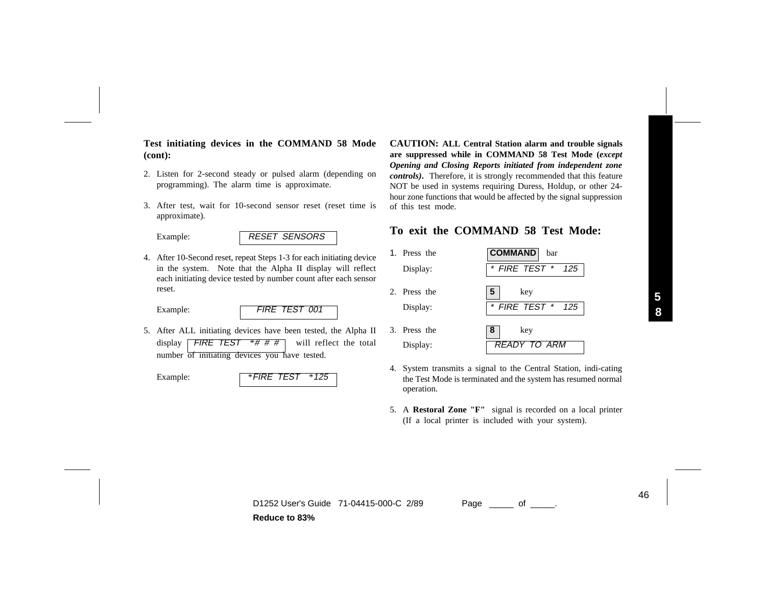**Test initiating devices in the COMMAND 58 Mode (cont):**

- 2. Listen for 2-second steady or pulsed alarm (depending on programming). The alarm time is approximate.
- 3. After test, wait for 10-second sensor reset (reset time is approximate).

Example: **RESET SENSORS** 

4. After 10-Second reset, repeat Steps 1-3 for each initiating device in the system. Note that the Alpha II display will reflect each initiating device tested by number count after each sensor reset.

Example: FIRE

| EST<br>001 |
|------------|
|------------|

5. After ALL initiating devices have been tested, the Alpha II display **FIRE TEST**  $* \# \# \#$  will reflect the total number of initiating devices you have tested.

Example:  $\sqrt{\text{FIRE TEST} \times 125}$ 

**CAUTION: ALL Central Station alarm and trouble signals are suppressed while in COMMAND 58 Test Mode (***except Opening and Closing Reports initiated from independent zone controls)***.** Therefore, it is strongly recommended that this feature NOT be used in systems requiring Duress, Holdup, or other 24 hour zone functions that would be affected by the signal suppression of this test mode.

### **To exit the COMMAND 58 Test Mode:**

- 1. Press the **COMMAND** bar Display:  $*$  FIRE TEST  $*$  125 2. Press the **5** key Display:  $*$  FIRE TEST  $*$  125 3. Press the **8** key Display: **READY TO ARM**
- 4. System transmits a signal to the Central Station, indi-cating the Test Mode is terminated and the system has resumed normal operation.
- 5. A **Restoral Zone "F"** signal is recorded on a local printer (If a local printer is included with your system).

|               | D1252 User's Guide 71-04415-000-C 2/89 | Page _______ of ______. |  |
|---------------|----------------------------------------|-------------------------|--|
| Reduce to 83% |                                        |                         |  |

**5 8**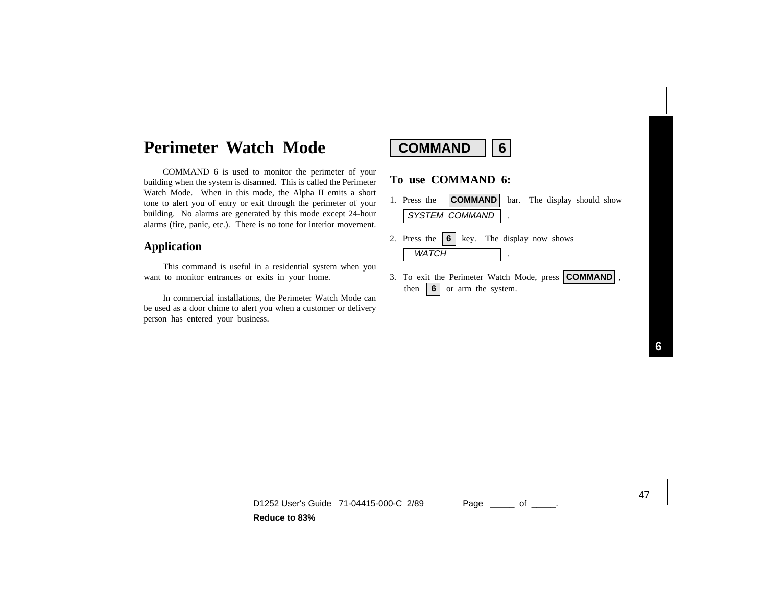### **Perimeter Watch Mode**

COMMAND 6 is used to monitor the perimeter of your building when the system is disarmed. This is called the Perimeter Watch Mode. When in this mode, the Alpha II emits a short tone to alert you of entry or exit through the perimeter of your building. No alarms are generated by this mode except 24-hour alarms (fire, panic, etc.). There is no tone for interior movement.

### **Application**

This command is useful in a residential system when you want to monitor entrances or exits in your home.

In commercial installations, the Perimeter Watch Mode can be used as a door chime to alert you when a customer or delivery person has entered your business.



#### **To use COMMAND 6:**

- 1. Press the **COMMAND** bar. The display should show SYSTEM COMMAND *.*
- 2. Press the **6** key. The display now shows WATCH *.*
- 3. To exit the Perimeter Watch Mode, press **COMMAND** then  $\vert 6 \vert$  or arm the system.

| D1252 User's Guide 71-04415-000-C 2/89 | Page |  |
|----------------------------------------|------|--|
| Reduce to 83%                          |      |  |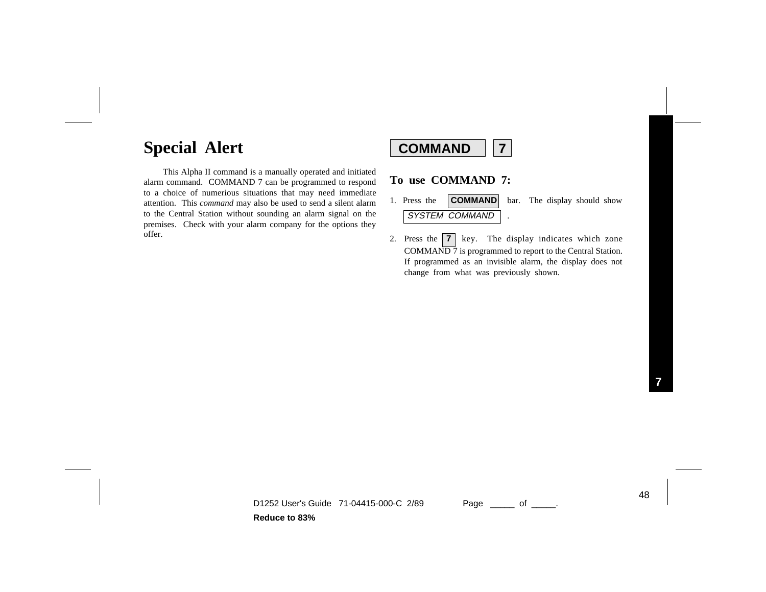# **Special Alert**

This Alpha II command is a manually operated and initiated alarm command. COMMAND 7 can be programmed to respond to a choice of numerious situations that may need immediate attention. This *command* may also be used to send a silent alarm to the Central Station without sounding an alarm signal on the premises. Check with your alarm company for the options they offer.

# **COMMAND 7**

#### **To use COMMAND 7:**

- 1. Press the **COMMAND** bar. The display should show SYSTEM COMMAND
- 2. Press the **7** key. The display indicates which zone COMMAND 7 is programmed to report to the Central Station. If programmed as an invisible alarm, the display does not change from what was previously shown.

48

D1252 User's Guide 71-04415-000-C 2/89 Page \_\_\_\_\_\_ of **Reduce to 83%**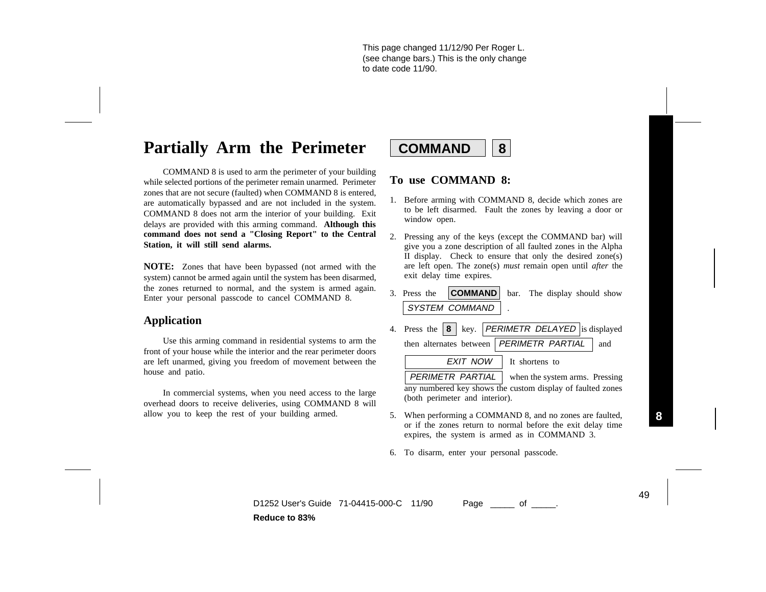This page changed 11/12/90 Per Roger L. (see change bars.) This is the only change to date code 11/90.

### **Partially Arm the Perimeter**

COMMAND 8 is used to arm the perimeter of your building while selected portions of the perimeter remain unarmed. Perimeter zones that are not secure (faulted) when COMMAND 8 is entered, are automatically bypassed and are not included in the system. COMMAND 8 does not arm the interior of your building. Exit delays are provided with this arming command. **Although this command does not send a "Closing Report" to the Central Station, it will still send alarms.**

**NOTE:** Zones that have been bypassed (not armed with the system) cannot be armed again until the system has been disarmed, the zones returned to normal, and the system is armed again. Enter your personal passcode to cancel COMMAND 8.

### **Application**

Use this arming command in residential systems to arm the front of your house while the interior and the rear perimeter doors are left unarmed, giving you freedom of movement between the house and patio.

In commercial systems, when you need access to the large overhead doors to receive deliveries, using COMMAND 8 will allow you to keep the rest of your building armed.

# **COMMAND**  $\vert$  8

#### **To use COMMAND 8:**

- 1. Before arming with COMMAND 8, decide which zones are to be left disarmed. Fault the zones by leaving a door or window open.
- 2. Pressing any of the keys (except the COMMAND bar) will give you a zone description of all faulted zones in the Alpha II display. Check to ensure that only the desired zone(s) are left open. The zone(s) *must* remain open until *after* the exit delay time expires.
- 3. Press the **COMMAND** bar. The display should show SYSTEM COMMAND 4. Press the **8** key. **PERIMETR DELAYED** is displayed
	- then alternates between  $\sqrt{PERIMETR}$  PARTIAL  $\parallel$  and

EXIT NOW | It shortens to

PERIMETR PARTIAL | when the system arms. Pressing any numbered key shows the custom display of faulted zones (both perimeter and interior).

- 5. When performing a COMMAND 8, and no zones are faulted, or if the zones return to normal before the exit delay time expires, the system is armed as in COMMAND 3.
- 6. To disarm, enter your personal passcode.



**8**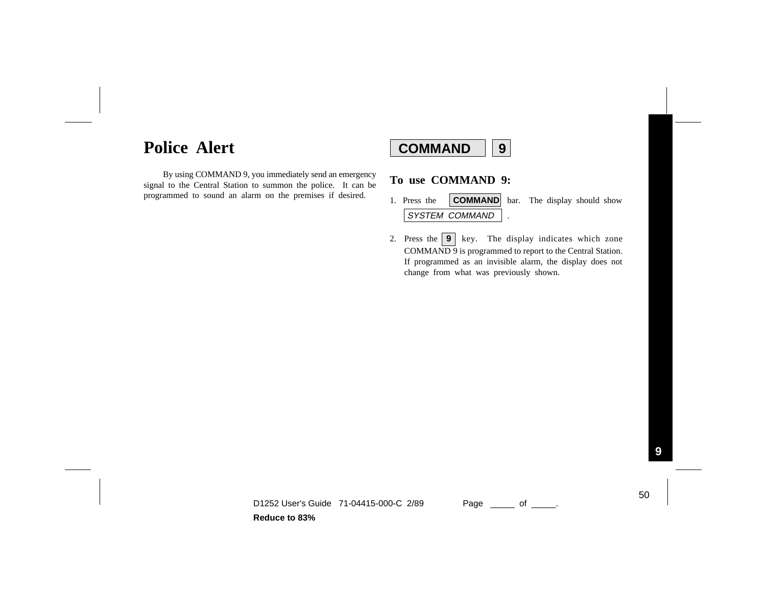# **Police Alert**

By using COMMAND 9, you immediately send an emergency signal to the Central Station to summon the police. It can be programmed to sound an alarm on the premises if desired.

# **COMMAND 9**

#### **To use COMMAND 9:**

- 1. Press the **COMMAND** bar. The display should show SYSTEM COMMAND
- 2. Press the **9** key. The display indicates which zone COMMAND 9 is programmed to report to the Central Station. If programmed as an invisible alarm, the display does not change from what was previously shown.

D1252 User's Guide 71-04415-000-C 2/89 Page \_\_\_\_\_\_ of **Reduce to 83%**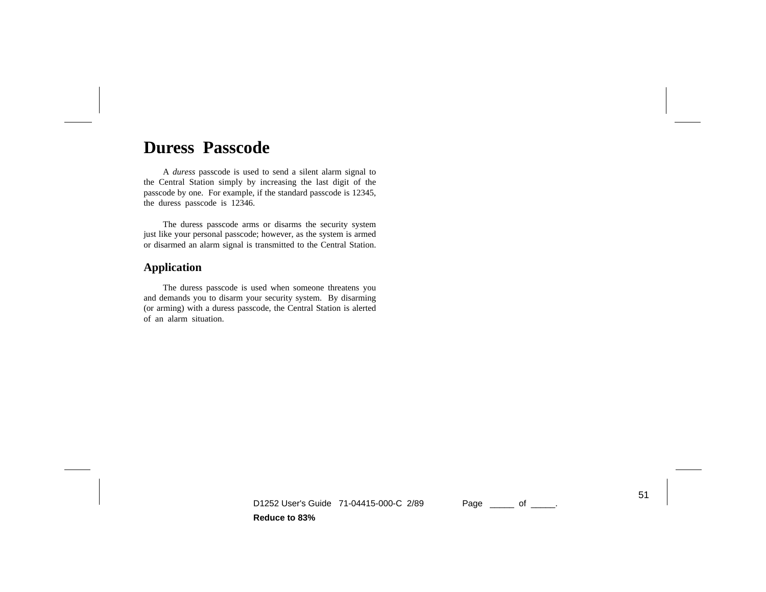### **Duress Passcode**

A *duress* passcode is used to send a silent alarm signal to the Central Station simply by increasing the last digit of the passcode by one. For example, if the standard passcode is 12345, the duress passcode is 12346.

The duress passcode arms or disarms the security system just like your personal passcode; however, as the system is armed or disarmed an alarm signal is transmitted to the Central Station.

### **Application**

The duress passcode is used when someone threatens you and demands you to disarm your security system. By disarming (or arming) with a duress passcode, the Central Station is alerted of an alarm situation.

> D1252 User's Guide 71-04415-000-C 2/89 Page \_\_\_\_\_\_ of **Reduce to 83%**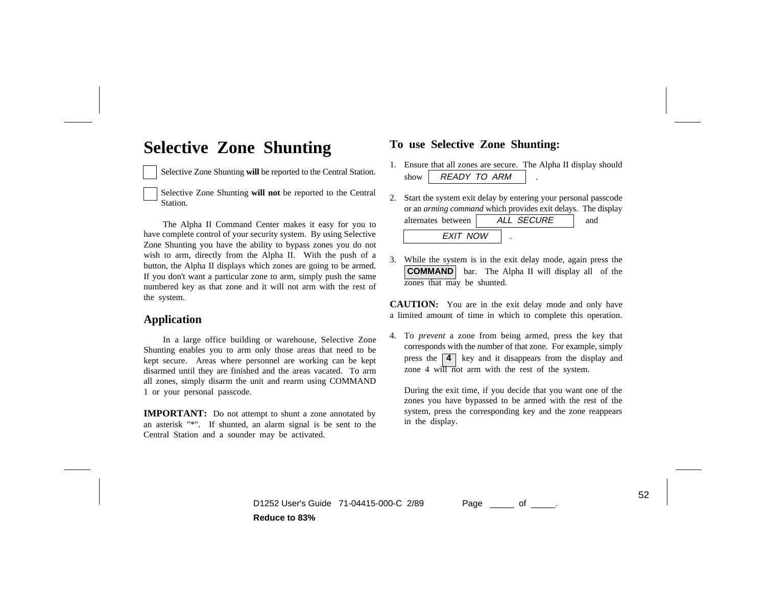### **Selective Zone Shunting**

Selective Zone Shunting **will** be reported to the Central Station.

Selective Zone Shunting **will not** be reported to the Central Station.

The Alpha II Command Center makes it easy for you to have complete control of your security system. By using Selective Zone Shunting you have the ability to bypass zones you do not wish to arm, directly from the Alpha II. With the push of a button, the Alpha II displays which zones are going to be armed. If you don't want a particular zone to arm, simply push the same numbered key as that zone and it will not arm with the rest of the system.

#### **Application**

In a large office building or warehouse, Selective Zone Shunting enables you to arm only those areas that need to be kept secure. Areas where personnel are working can be kept disarmed until they are finished and the areas vacated. To arm all zones, simply disarm the unit and rearm using COMMAND 1 or your personal passcode.

**IMPORTANT:** Do not attempt to shunt a zone annotated by an asterisk "\*". If shunted, an alarm signal is be sent to the Central Station and a sounder may be activated.

#### **To use Selective Zone Shunting:**

- 1. Ensure that all zones are secure. The Alpha II display should show  $READV$  TO ARM
- 2. Start the system exit delay by entering your personal passcode or an *arming command* which provides exit delays. The display alternates between **ALL SECURE** and EXIT NOW .
- 3. While the system is in the exit delay mode, again press the **COMMAND** bar. The Alpha II will display all of the zones that may be shunted.

**CAUTION:** You are in the exit delay mode and only have a limited amount of time in which to complete this operation.

4. To *prevent* a zone from being armed, press the key that corresponds with the number of that zone. For example, simply press the **4** key and it disappears from the display and zone 4 will not arm with the rest of the system.

During the exit time, if you decide that you want one of the zones you have bypassed to be armed with the rest of the system, press the corresponding key and the zone reappears in the display.

D1252 User's Guide 71-04415-000-C 2/89 Page \_\_\_\_\_\_ of **Reduce to 83%**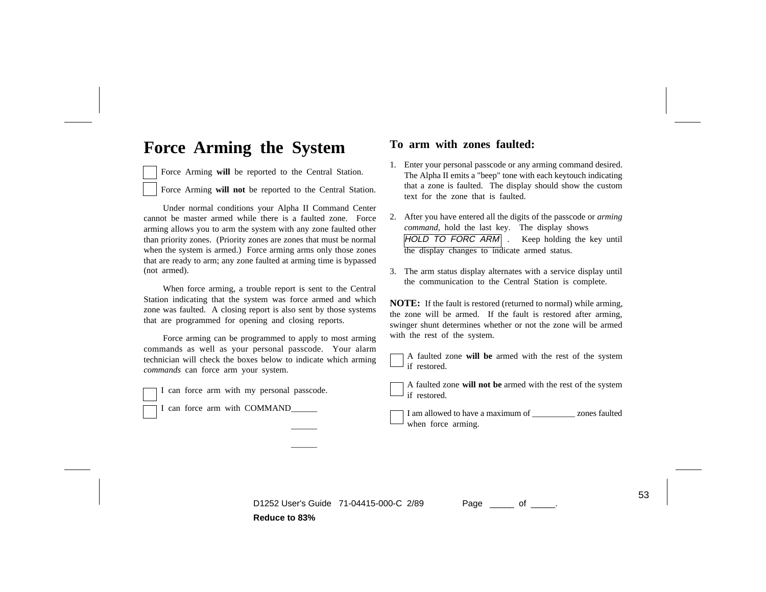### **Force Arming the System**

Force Arming **will** be reported to the Central Station.

Force Arming **will not** be reported to the Central Station.

Under normal conditions your Alpha II Command Center cannot be master armed while there is a faulted zone. Force arming allows you to arm the system with any zone faulted other than priority zones. (Priority zones are zones that must be normal when the system is armed.) Force arming arms only those zones that are ready to arm; any zone faulted at arming time is bypassed (not armed).

When force arming, a trouble report is sent to the Central Station indicating that the system was force armed and which zone was faulted. A closing report is also sent by those systems that are programmed for opening and closing reports.

Force arming can be programmed to apply to most arming commands as well as your personal passcode. Your alarm technician will check the boxes below to indicate which arming *commands* can force arm your system.

I can force arm with my personal passcode.

I can force arm with COMMAND\_\_\_\_\_\_

#### **To arm with zones faulted:**

- 1. Enter your personal passcode or any arming command desired. The Alpha II emits a "beep" tone with each keytouch indicating that a zone is faulted. The display should show the custom text for the zone that is faulted.
- 2. After you have entered all the digits of the passcode or *arming command*, hold the last key. The display shows  $HOLD$  TO FORC ARM . Keep holding the key until the display changes to indicate armed status.
- 3. The arm status display alternates with a service display until the communication to the Central Station is complete.

**NOTE:** If the fault is restored (returned to normal) while arming, the zone will be armed. If the fault is restored after arming, swinger shunt determines whether or not the zone will be armed with the rest of the system.

A faulted zone **will be** armed with the rest of the system if restored.

A faulted zone **will not be** armed with the rest of the system if restored.

I am allowed to have a maximum of \_\_\_\_\_\_\_\_\_\_ zones faulted when force arming.

D1252 User's Guide 71-04415-000-C 2/89 Page \_\_\_\_\_ of \_\_\_\_\_ **Reduce to 83%**

 $\overline{\phantom{a}}$  $\overline{\phantom{a}}$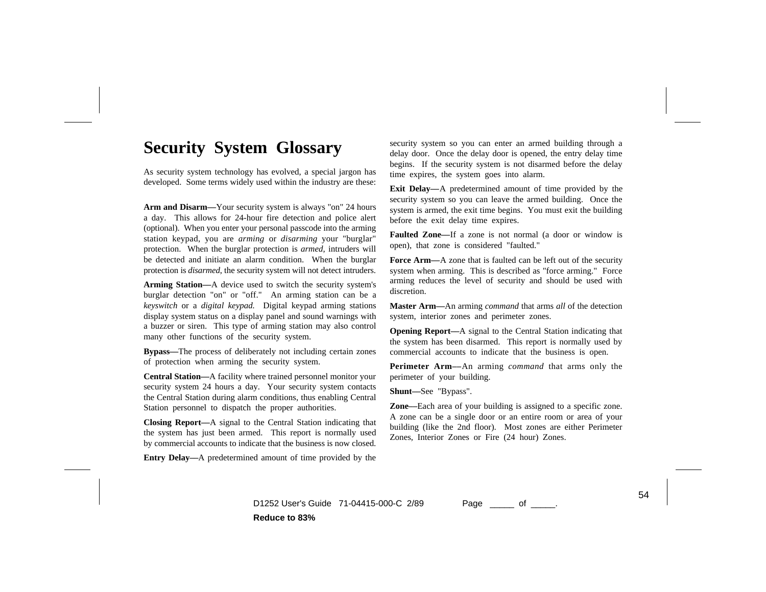### **Security System Glossary**

As security system technology has evolved, a special jargon has developed. Some terms widely used within the industry are these:

**Arm and Disarm––**Your security system is always "on" 24 hours a day. This allows for 24-hour fire detection and police alert (optional). When you enter your personal passcode into the arming station keypad, you are *arming* or *disarming* your "burglar" protection. When the burglar protection is *armed*, intruders will be detected and initiate an alarm condition. When the burglar protection is *disarmed*, the security system will not detect intruders.

**Arming Station––**A device used to switch the security system's burglar detection "on" or "off." An arming station can be a *keyswitch* or a *digital keypad.* Digital keypad arming stations display system status on a display panel and sound warnings with a buzzer or siren. This type of arming station may also control many other functions of the security system.

**Bypass––**The process of deliberately not including certain zones of protection when arming the security system.

**Central Station––**A facility where trained personnel monitor your security system 24 hours a day. Your security system contacts the Central Station during alarm conditions, thus enabling Central Station personnel to dispatch the proper authorities.

**Closing Report––**A signal to the Central Station indicating that the system has just been armed. This report is normally used by commercial accounts to indicate that the business is now closed.

**Entry Delay––**A predetermined amount of time provided by the

security system so you can enter an armed building through a delay door. Once the delay door is opened, the entry delay time begins. If the security system is not disarmed before the delay time expires, the system goes into alarm.

**Exit Delay––**A predetermined amount of time provided by the security system so you can leave the armed building. Once the system is armed, the exit time begins. You must exit the building before the exit delay time expires.

**Faulted Zone––**If a zone is not normal (a door or window is open), that zone is considered "faulted."

**Force Arm––**A zone that is faulted can be left out of the security system when arming. This is described as "force arming." Force arming reduces the level of security and should be used with discretion.

**Master Arm––**An arming *command* that arms *all* of the detection system, interior zones and perimeter zones.

**Opening Report––**A signal to the Central Station indicating that the system has been disarmed. This report is normally used by commercial accounts to indicate that the business is open.

**Perimeter Arm––**An arming *command* that arms only the perimeter of your building.

**Shunt––**See "Bypass".

**Zone––**Each area of your building is assigned to a specific zone. A zone can be a single door or an entire room or area of your building (like the 2nd floor). Most zones are either Perimeter Zones, Interior Zones or Fire (24 hour) Zones.

D1252 User's Guide 71-04415-000-C 2/89 Page \_\_\_\_\_ of \_\_\_\_\_. **Reduce to 83%**